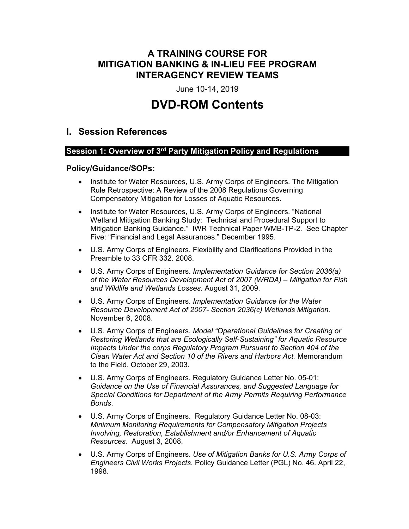# **A TRAINING COURSE FOR MITIGATION BANKING & IN-LIEU FEE PROGRAM INTERAGENCY REVIEW TEAMS**

June 10-14, 2019

# **DVD-ROM Contents**

# **I. Session References**

### **Session 1: Overview of 3rd Party Mitigation Policy and Regulations**

#### **Policy/Guidance/SOPs:**

- Institute for Water Resources, U.S. Army Corps of Engineers. The Mitigation Rule Retrospective: A Review of the 2008 Regulations Governing Compensatory Mitigation for Losses of Aquatic Resources.
- Institute for Water Resources, U.S. Army Corps of Engineers. "National Wetland Mitigation Banking Study: Technical and Procedural Support to Mitigation Banking Guidance." IWR Technical Paper WMB-TP-2. See Chapter Five: "Financial and Legal Assurances." December 1995.
- U.S. Army Corps of Engineers. Flexibility and Clarifications Provided in the Preamble to 33 CFR 332. 2008.
- U.S. Army Corps of Engineers. *Implementation Guidance for Section 2036(a) of the Water Resources Development Act of 2007 (WRDA) – Mitigation for Fish and Wildlife and Wetlands Losses.* August 31, 2009.
- U.S. Army Corps of Engineers. *Implementation Guidance for the Water Resource Development Act of 2007- Section 2036(c) Wetlands Mitigation.* November 6, 2008.
- U.S. Army Corps of Engineers. *Model "Operational Guidelines for Creating or Restoring Wetlands that are Ecologically Self-Sustaining" for Aquatic Resource Impacts Under the corps Regulatory Program Pursuant to Section 404 of the Clean Water Act and Section 10 of the Rivers and Harbors Act.* Memorandum to the Field. October 29, 2003.
- U.S. Army Corps of Engineers. Regulatory Guidance Letter No. 05-01: *Guidance on the Use of Financial Assurances, and Suggested Language for Special Conditions for Department of the Army Permits Requiring Performance Bonds*.
- U.S. Army Corps of Engineers. Regulatory Guidance Letter No. 08-03: *Minimum Monitoring Requirements for Compensatory Mitigation Projects Involving, Restoration, Establishment and/or Enhancement of Aquatic Resources.* August 3, 2008.
- U.S. Army Corps of Engineers. *Use of Mitigation Banks for U.S. Army Corps of Engineers Civil Works Projects*. Policy Guidance Letter (PGL) No. 46. April 22, 1998.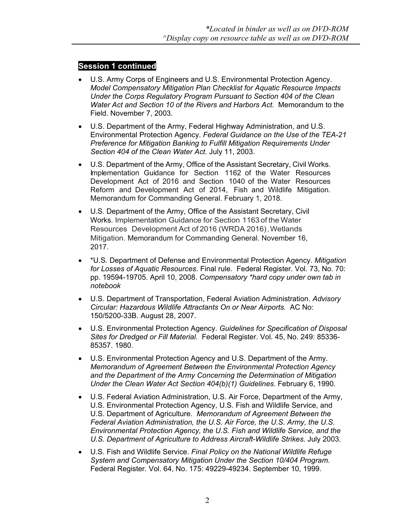- U.S. Army Corps of Engineers and U.S. Environmental Protection Agency. *Model Compensatory Mitigation Plan Checklist for Aquatic Resource Impacts Under the Corps Regulatory Program Pursuant to Section 404 of the Clean Water Act and Section 10 of the Rivers and Harbors Act.* Memorandum to the Field. November 7, 2003.
- U.S. Department of the Army, Federal Highway Administration, and U.S. Environmental Protection Agency. *Federal Guidance on the Use of the TEA-21 Preference for Mitigation Banking to Fulfill Mitigation Requirements Under Section 404 of the Clean Water Act.* July 11, 2003.
- U.S. Department of the Army, Office of the Assistant Secretary, Civil Works. Implementation Guidance for Section 1162 of the Water Resources Development Act of 2016 and Section 1040 of the Water Resources Reform and Development Act of 2014, Fish and Wildlife Mitigation. Memorandum for Commanding General. February 1, 2018.
- U.S. Department of the Army, Office of the Assistant Secretary, Civil Works. Implementation Guidance for Section 1163 of the Water Resources Development Act of 2016 (WRDA 2016), Wetlands Mitigation. Memorandum for Commanding General. November 16, 2017.
- \*U.S. Department of Defense and Environmental Protection Agency. *Mitigation for Losses of Aquatic Resources*. Final rule. Federal Register. Vol. 73, No. 70: pp. 19594-19705. April 10, 2008. *Compensatory \*hard copy under own tab in notebook*
- U.S. Department of Transportation, Federal Aviation Administration. *Advisory Circular: Hazardous Wildlife Attractants On or Near Airports.* AC No: 150/5200-33B. August 28, 2007.
- U.S. Environmental Protection Agency. *Guidelines for Specification of Disposal Sites for Dredged or Fill Material.* Federal Register. Vol. 45, No. 249: 85336- 85357. 1980.
- U.S. Environmental Protection Agency and U.S. Department of the Army. *Memorandum of Agreement Between the Environmental Protection Agency and the Department of the Army Concerning the Determination of Mitigation Under the Clean Water Act Section 404(b)(1) Guidelines*. February 6, 1990.
- U.S. Federal Aviation Administration, U.S. Air Force, Department of the Army, U.S. Environmental Protection Agency, U.S. Fish and Wildlife Service, and U.S. Department of Agriculture. *Memorandum of Agreement Between the Federal Aviation Administration, the U.S. Air Force, the U.S. Army, the U.S. Environmental Protection Agency, the U.S. Fish and Wildlife Service, and the U.S. Department of Agriculture to Address Aircraft-Wildlife Strikes.* July 2003.
- U.S. Fish and Wildlife Service. *Final Policy on the National Wildlife Refuge System and Compensatory Mitigation Under the Section 10/404 Program.* Federal Register. Vol. 64, No. 175: 49229-49234. September 10, 1999.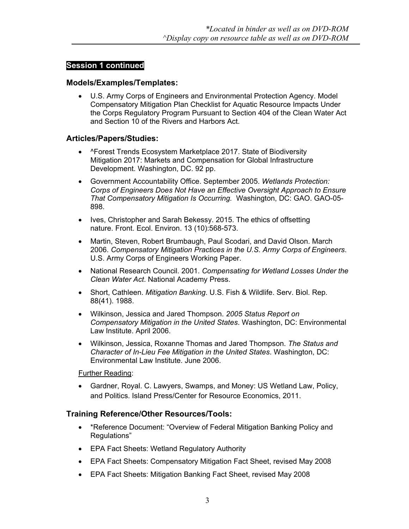#### **Models/Examples/Templates:**

 U.S. Army Corps of Engineers and Environmental Protection Agency. Model Compensatory Mitigation Plan Checklist for Aquatic Resource Impacts Under the Corps Regulatory Program Pursuant to Section 404 of the Clean Water Act and Section 10 of the Rivers and Harbors Act.

#### **Articles/Papers/Studies:**

- ^Forest Trends Ecosystem Marketplace 2017. State of Biodiversity Mitigation 2017: Markets and Compensation for Global Infrastructure Development. Washington, DC. 92 pp.
- Government Accountability Office. September 2005. *Wetlands Protection: Corps of Engineers Does Not Have an Effective Oversight Approach to Ensure That Compensatory Mitigation Is Occurring.* Washington, DC: GAO. GAO-05- 898.
- Ives, Christopher and Sarah Bekessy. 2015. The ethics of offsetting nature. Front. Ecol. Environ. 13 (10):568-573.
- Martin, Steven, Robert Brumbaugh, Paul Scodari, and David Olson. March 2006. *Compensatory Mitigation Practices in the U.S. Army Corps of Engineers*. U.S. Army Corps of Engineers Working Paper.
- National Research Council. 2001. *Compensating for Wetland Losses Under the Clean Water Act*. National Academy Press.
- Short, Cathleen. *Mitigation Banking*. U.S. Fish & Wildlife. Serv. Biol. Rep. 88(41). 1988.
- Wilkinson, Jessica and Jared Thompson. *2005 Status Report on Compensatory Mitigation in the United States*. Washington, DC: Environmental Law Institute. April 2006.
- Wilkinson, Jessica, Roxanne Thomas and Jared Thompson. *The Status and Character of In-Lieu Fee Mitigation in the United States*. Washington, DC: Environmental Law Institute. June 2006.

#### Further Reading:

 Gardner, Royal. C. Lawyers, Swamps, and Money: US Wetland Law, Policy, and Politics. Island Press/Center for Resource Economics, 2011.

### **Training Reference/Other Resources/Tools:**

- \* Reference Document: "Overview of Federal Mitigation Banking Policy and Regulations"
- EPA Fact Sheets: Wetland Regulatory Authority
- EPA Fact Sheets: Compensatory Mitigation Fact Sheet, revised May 2008
- EPA Fact Sheets: Mitigation Banking Fact Sheet, revised May 2008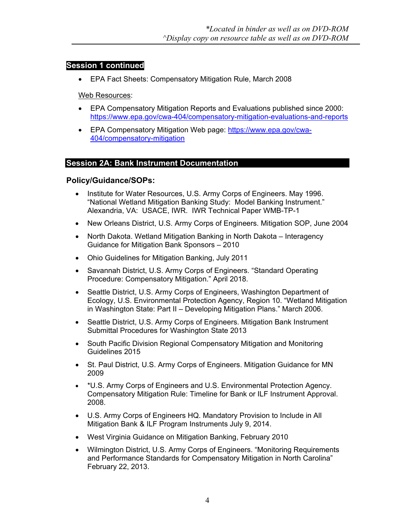EPA Fact Sheets: Compensatory Mitigation Rule, March 2008

#### Web Resources:

- EPA Compensatory Mitigation Reports and Evaluations published since 2000: https://www.epa.gov/cwa-404/compensatory-mitigation-evaluations-and-reports
- EPA Compensatory Mitigation Web page: https://www.epa.gov/cwa-404/compensatory-mitigation

### **Session 2A: Bank Instrument Documentation**

### **Policy/Guidance/SOPs:**

- Institute for Water Resources, U.S. Army Corps of Engineers. May 1996. "National Wetland Mitigation Banking Study: Model Banking Instrument." Alexandria, VA: USACE, IWR. IWR Technical Paper WMB-TP-1
- New Orleans District, U.S. Army Corps of Engineers. Mitigation SOP, June 2004
- North Dakota. Wetland Mitigation Banking in North Dakota Interagency Guidance for Mitigation Bank Sponsors – 2010
- Ohio Guidelines for Mitigation Banking, July 2011
- Savannah District, U.S. Army Corps of Engineers. "Standard Operating Procedure: Compensatory Mitigation." April 2018.
- Seattle District, U.S. Army Corps of Engineers, Washington Department of Ecology, U.S. Environmental Protection Agency, Region 10. "Wetland Mitigation in Washington State: Part II – Developing Mitigation Plans." March 2006.
- Seattle District, U.S. Army Corps of Engineers. Mitigation Bank Instrument Submittal Procedures for Washington State 2013
- South Pacific Division Regional Compensatory Mitigation and Monitoring Guidelines 2015
- St. Paul District, U.S. Army Corps of Engineers. Mitigation Guidance for MN 2009
- \*U.S. Army Corps of Engineers and U.S. Environmental Protection Agency. Compensatory Mitigation Rule: Timeline for Bank or ILF Instrument Approval. 2008.
- U.S. Army Corps of Engineers HQ. Mandatory Provision to Include in All Mitigation Bank & ILF Program Instruments July 9, 2014.
- West Virginia Guidance on Mitigation Banking, February 2010
- Wilmington District, U.S. Army Corps of Engineers. "Monitoring Requirements and Performance Standards for Compensatory Mitigation in North Carolina" February 22, 2013.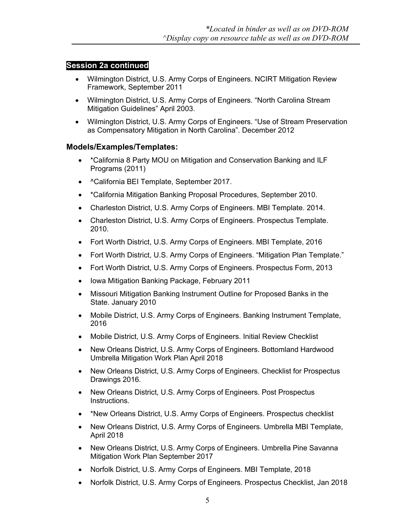- Wilmington District, U.S. Army Corps of Engineers. NCIRT Mitigation Review Framework, September 2011
- Wilmington District, U.S. Army Corps of Engineers. "North Carolina Stream Mitigation Guidelines" April 2003.
- Wilmington District, U.S. Army Corps of Engineers. "Use of Stream Preservation as Compensatory Mitigation in North Carolina". December 2012

- \*California 8 Party MOU on Mitigation and Conservation Banking and ILF Programs (2011)
- ^California BEI Template, September 2017.
- \*California Mitigation Banking Proposal Procedures, September 2010.
- Charleston District, U.S. Army Corps of Engineers. MBI Template. 2014.
- Charleston District, U.S. Army Corps of Engineers. Prospectus Template. 2010.
- Fort Worth District, U.S. Army Corps of Engineers. MBI Template, 2016
- Fort Worth District, U.S. Army Corps of Engineers. "Mitigation Plan Template."
- Fort Worth District, U.S. Army Corps of Engineers. Prospectus Form, 2013
- Iowa Mitigation Banking Package, February 2011
- Missouri Mitigation Banking Instrument Outline for Proposed Banks in the State. January 2010
- Mobile District, U.S. Army Corps of Engineers. Banking Instrument Template, 2016
- Mobile District, U.S. Army Corps of Engineers. Initial Review Checklist
- New Orleans District, U.S. Army Corps of Engineers. Bottomland Hardwood Umbrella Mitigation Work Plan April 2018
- New Orleans District, U.S. Army Corps of Engineers. Checklist for Prospectus Drawings 2016.
- New Orleans District, U.S. Army Corps of Engineers. Post Prospectus Instructions.
- \*New Orleans District, U.S. Army Corps of Engineers. Prospectus checklist
- New Orleans District, U.S. Army Corps of Engineers. Umbrella MBI Template, April 2018
- New Orleans District, U.S. Army Corps of Engineers. Umbrella Pine Savanna Mitigation Work Plan September 2017
- Norfolk District, U.S. Army Corps of Engineers. MBI Template, 2018
- Norfolk District, U.S. Army Corps of Engineers. Prospectus Checklist, Jan 2018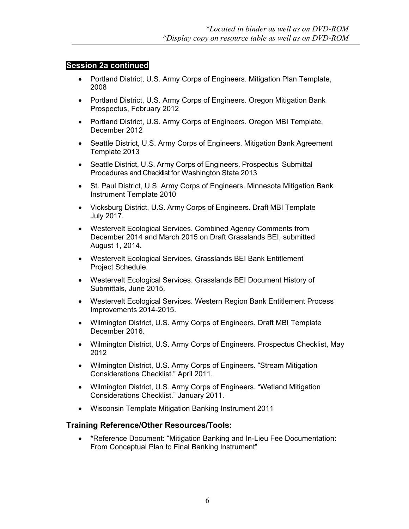- Portland District, U.S. Army Corps of Engineers. Mitigation Plan Template, 2008
- Portland District, U.S. Army Corps of Engineers. Oregon Mitigation Bank Prospectus, February 2012
- Portland District, U.S. Army Corps of Engineers. Oregon MBI Template, December 2012
- Seattle District, U.S. Army Corps of Engineers. Mitigation Bank Agreement Template 2013
- Seattle District, U.S. Army Corps of Engineers. Prospectus Submittal Procedures and Checklist for Washington State 2013
- St. Paul District, U.S. Army Corps of Engineers. Minnesota Mitigation Bank Instrument Template 2010
- Vicksburg District, U.S. Army Corps of Engineers. Draft MBI Template July 2017.
- Westervelt Ecological Services. Combined Agency Comments from December 2014 and March 2015 on Draft Grasslands BEI, submitted August 1, 2014.
- Westervelt Ecological Services. Grasslands BEI Bank Entitlement Project Schedule.
- Westervelt Ecological Services. Grasslands BEI Document History of Submittals, June 2015.
- Westervelt Ecological Services. Western Region Bank Entitlement Process Improvements 2014-2015.
- Wilmington District, U.S. Army Corps of Engineers. Draft MBI Template December 2016.
- Wilmington District, U.S. Army Corps of Engineers. Prospectus Checklist, May 2012
- Wilmington District, U.S. Army Corps of Engineers. "Stream Mitigation Considerations Checklist." April 2011.
- Wilmington District, U.S. Army Corps of Engineers. "Wetland Mitigation Considerations Checklist." January 2011.
- Wisconsin Template Mitigation Banking Instrument 2011

### **Training Reference/Other Resources/Tools:**

• \*Reference Document: "Mitigation Banking and In-Lieu Fee Documentation: From Conceptual Plan to Final Banking Instrument"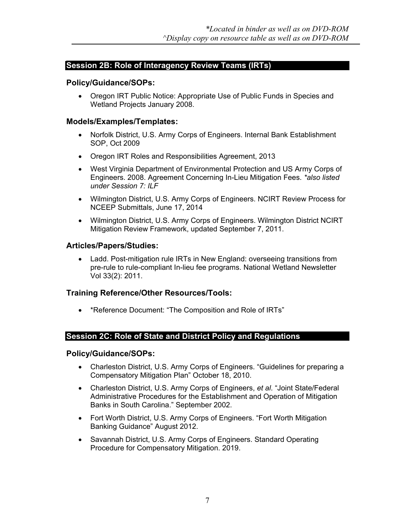### **Session 2B: Role of Interagency Review Teams (IRTs)**

### **Policy/Guidance/SOPs:**

 Oregon IRT Public Notice: Appropriate Use of Public Funds in Species and Wetland Projects January 2008.

### **Models/Examples/Templates:**

- Norfolk District, U.S. Army Corps of Engineers. Internal Bank Establishment SOP, Oct 2009
- Oregon IRT Roles and Responsibilities Agreement, 2013
- West Virginia Department of Environmental Protection and US Army Corps of Engineers. 2008. Agreement Concerning In-Lieu Mitigation Fees. *\*also listed under Session 7: ILF*
- Wilmington District, U.S. Army Corps of Engineers. NCIRT Review Process for NCEEP Submittals, June 17, 2014
- Wilmington District, U.S. Army Corps of Engineers. Wilmington District NCIRT Mitigation Review Framework, updated September 7, 2011.

### **Articles/Papers/Studies:**

 Ladd. Post-mitigation rule IRTs in New England: overseeing transitions from pre-rule to rule-compliant In-lieu fee programs. National Wetland Newsletter Vol 33(2): 2011.

### **Training Reference/Other Resources/Tools:**

• \*Reference Document: "The Composition and Role of IRTs"

### **Session 2C: Role of State and District Policy and Regulations**

### **Policy/Guidance/SOPs:**

- Charleston District, U.S. Army Corps of Engineers. "Guidelines for preparing a Compensatory Mitigation Plan" October 18, 2010.
- Charleston District, U.S. Army Corps of Engineers, *et al*. "Joint State/Federal Administrative Procedures for the Establishment and Operation of Mitigation Banks in South Carolina." September 2002.
- Fort Worth District, U.S. Army Corps of Engineers. "Fort Worth Mitigation Banking Guidance" August 2012.
- Savannah District, U.S. Army Corps of Engineers. Standard Operating Procedure for Compensatory Mitigation. 2019.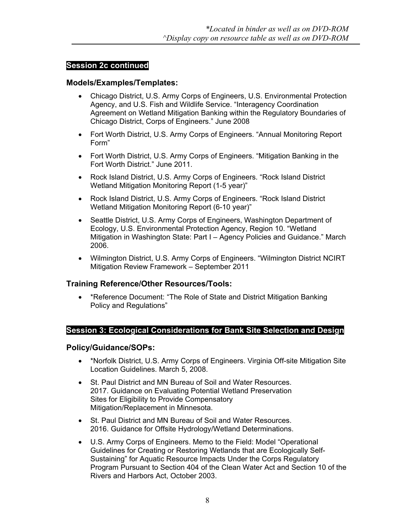#### **Models/Examples/Templates:**

- Chicago District, U.S. Army Corps of Engineers, U.S. Environmental Protection Agency, and U.S. Fish and Wildlife Service. "Interagency Coordination Agreement on Wetland Mitigation Banking within the Regulatory Boundaries of Chicago District, Corps of Engineers." June 2008
- Fort Worth District, U.S. Army Corps of Engineers. "Annual Monitoring Report Form"
- Fort Worth District, U.S. Army Corps of Engineers. "Mitigation Banking in the Fort Worth District." June 2011.
- Rock Island District, U.S. Army Corps of Engineers. "Rock Island District Wetland Mitigation Monitoring Report (1-5 year)"
- Rock Island District, U.S. Army Corps of Engineers. "Rock Island District Wetland Mitigation Monitoring Report (6-10 year)"
- Seattle District, U.S. Army Corps of Engineers, Washington Department of Ecology, U.S. Environmental Protection Agency, Region 10. "Wetland Mitigation in Washington State: Part I – Agency Policies and Guidance." March 2006.
- Wilmington District, U.S. Army Corps of Engineers. "Wilmington District NCIRT Mitigation Review Framework – September 2011

### **Training Reference/Other Resources/Tools:**

• \* Reference Document: "The Role of State and District Mitigation Banking Policy and Regulations"

### **Session 3: Ecological Considerations for Bank Site Selection and Design**

### **Policy/Guidance/SOPs:**

- \*Norfolk District, U.S. Army Corps of Engineers. Virginia Off-site Mitigation Site Location Guidelines. March 5, 2008.
- St. Paul District and MN Bureau of Soil and Water Resources. 2017. Guidance on Evaluating Potential Wetland Preservation Sites for Eligibility to Provide Compensatory Mitigation/Replacement in Minnesota.
- St. Paul District and MN Bureau of Soil and Water Resources. 2016. Guidance for Offsite Hydrology/Wetland Determinations.
- U.S. Army Corps of Engineers. Memo to the Field: Model "Operational Guidelines for Creating or Restoring Wetlands that are Ecologically Self-Sustaining" for Aquatic Resource Impacts Under the Corps Regulatory Program Pursuant to Section 404 of the Clean Water Act and Section 10 of the Rivers and Harbors Act, October 2003.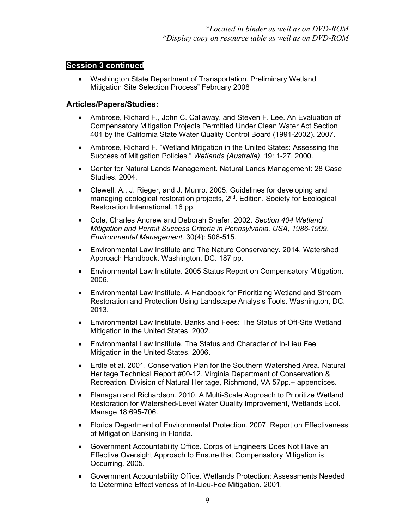Washington State Department of Transportation. Preliminary Wetland Mitigation Site Selection Process" February 2008

### **Articles/Papers/Studies:**

- Ambrose, Richard F., John C. Callaway, and Steven F. Lee. An Evaluation of Compensatory Mitigation Projects Permitted Under Clean Water Act Section 401 by the California State Water Quality Control Board (1991-2002). 2007.
- Ambrose, Richard F. "Wetland Mitigation in the United States: Assessing the Success of Mitigation Policies." *Wetlands (Australia)*. 19: 1-27. 2000.
- Center for Natural Lands Management. Natural Lands Management: 28 Case Studies. 2004.
- Clewell, A., J. Rieger, and J. Munro. 2005. Guidelines for developing and managing ecological restoration projects, 2<sup>nd</sup>. Edition. Society for Ecological Restoration International. 16 pp.
- Cole, Charles Andrew and Deborah Shafer. 2002. *Section 404 Wetland Mitigation and Permit Success Criteria in Pennsylvania, USA, 1986-1999*. *Environmental Management*. 30(4): 508-515.
- Environmental Law Institute and The Nature Conservancy. 2014. Watershed Approach Handbook. Washington, DC. 187 pp.
- Environmental Law Institute. 2005 Status Report on Compensatory Mitigation. 2006.
- Environmental Law Institute. A Handbook for Prioritizing Wetland and Stream Restoration and Protection Using Landscape Analysis Tools. Washington, DC. 2013.
- Environmental Law Institute. Banks and Fees: The Status of Off-Site Wetland Mitigation in the United States. 2002.
- Environmental Law Institute. The Status and Character of In-Lieu Fee Mitigation in the United States. 2006.
- Erdle et al. 2001. Conservation Plan for the Southern Watershed Area. Natural Heritage Technical Report #00-12. Virginia Department of Conservation & Recreation. Division of Natural Heritage, Richmond, VA 57pp.+ appendices.
- Flanagan and Richardson. 2010. A Multi-Scale Approach to Prioritize Wetland Restoration for Watershed-Level Water Quality Improvement, Wetlands Ecol. Manage 18:695-706.
- Florida Department of Environmental Protection. 2007. Report on Effectiveness of Mitigation Banking in Florida.
- Government Accountability Office. Corps of Engineers Does Not Have an Effective Oversight Approach to Ensure that Compensatory Mitigation is Occurring. 2005.
- Government Accountability Office. Wetlands Protection: Assessments Needed to Determine Effectiveness of In-Lieu-Fee Mitigation. 2001.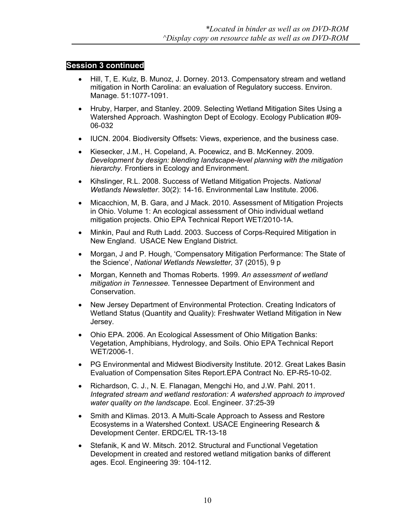- Hill, T, E. Kulz, B. Munoz, J. Dorney. 2013. Compensatory stream and wetland mitigation in North Carolina: an evaluation of Regulatory success. Environ. Manage. 51:1077-1091.
- Hruby, Harper, and Stanley. 2009. Selecting Wetland Mitigation Sites Using a Watershed Approach. Washington Dept of Ecology. Ecology Publication #09- 06-032
- IUCN. 2004. Biodiversity Offsets: Views, experience, and the business case.
- Kiesecker, J.M., H. Copeland, A. Pocewicz, and B. McKenney. 2009. *Development by design: blending landscape-level planning with the mitigation hierarchy.* Frontiers in Ecology and Environment.
- Kihslinger, R.L. 2008. Success of Wetland Mitigation Projects. *National Wetlands Newsletter*. 30(2): 14-16. Environmental Law Institute. 2006.
- Micacchion, M, B. Gara, and J Mack. 2010. Assessment of Mitigation Projects in Ohio. Volume 1: An ecological assessment of Ohio individual wetland mitigation projects. Ohio EPA Technical Report WET/2010-1A.
- Minkin, Paul and Ruth Ladd. 2003. Success of Corps-Required Mitigation in New England. USACE New England District.
- Morgan, J and P. Hough, 'Compensatory Mitigation Performance: The State of the Science', *National Wetlands Newsletter,* 37 (2015), 9 p
- Morgan, Kenneth and Thomas Roberts. 1999. *An assessment of wetland mitigation in Tennessee.* Tennessee Department of Environment and Conservation.
- New Jersey Department of Environmental Protection. Creating Indicators of Wetland Status (Quantity and Quality): Freshwater Wetland Mitigation in New Jersey.
- Ohio EPA. 2006. An Ecological Assessment of Ohio Mitigation Banks: Vegetation, Amphibians, Hydrology, and Soils. Ohio EPA Technical Report WET/2006-1.
- PG Environmental and Midwest Biodiversity Institute. 2012. Great Lakes Basin Evaluation of Compensation Sites Report.EPA Contract No. EP-R5-10-02.
- Richardson, C. J., N. E. Flanagan, Mengchi Ho, and J.W. Pahl. 2011. *Integrated stream and wetland restoration: A watershed approach to improved water quality on the landscape.* Ecol. Engineer. 37:25-39
- Smith and Klimas. 2013. A Multi-Scale Approach to Assess and Restore Ecosystems in a Watershed Context. USACE Engineering Research & Development Center. ERDC/EL TR-13-18
- Stefanik, K and W. Mitsch. 2012. Structural and Functional Vegetation Development in created and restored wetland mitigation banks of different ages. Ecol. Engineering 39: 104-112.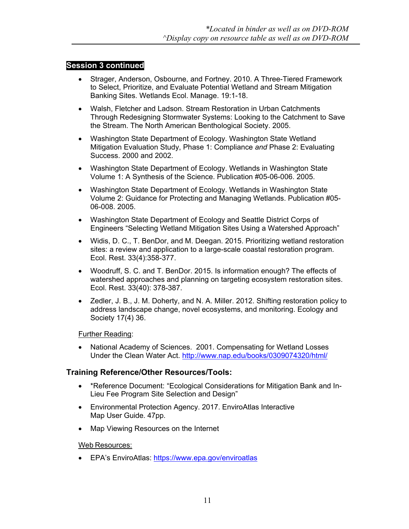- Strager, Anderson, Osbourne, and Fortney. 2010. A Three-Tiered Framework to Select, Prioritize, and Evaluate Potential Wetland and Stream Mitigation Banking Sites. Wetlands Ecol. Manage. 19:1-18.
- Walsh, Fletcher and Ladson. Stream Restoration in Urban Catchments Through Redesigning Stormwater Systems: Looking to the Catchment to Save the Stream. The North American Benthological Society. 2005.
- Washington State Department of Ecology. Washington State Wetland Mitigation Evaluation Study, Phase 1: Compliance *and* Phase 2: Evaluating Success. 2000 and 2002.
- Washington State Department of Ecology. Wetlands in Washington State Volume 1: A Synthesis of the Science. Publication #05-06-006. 2005.
- Washington State Department of Ecology. Wetlands in Washington State Volume 2: Guidance for Protecting and Managing Wetlands. Publication #05- 06-008. 2005.
- Washington State Department of Ecology and Seattle District Corps of Engineers "Selecting Wetland Mitigation Sites Using a Watershed Approach"
- Widis, D. C., T. BenDor, and M. Deegan. 2015. Prioritizing wetland restoration sites: a review and application to a large-scale coastal restoration program. Ecol. Rest. 33(4):358-377.
- Woodruff, S. C. and T. BenDor. 2015. Is information enough? The effects of watershed approaches and planning on targeting ecosystem restoration sites. Ecol. Rest. 33(40): 378-387.
- Zedler, J. B., J. M. Doherty, and N. A. Miller. 2012. Shifting restoration policy to address landscape change, novel ecosystems, and monitoring. Ecology and Society 17(4) 36.

#### Further Reading:

 National Academy of Sciences. 2001. Compensating for Wetland Losses Under the Clean Water Act. http://www.nap.edu/books/0309074320/html/

### **Training Reference/Other Resources/Tools:**

- \*Reference Document: "Ecological Considerations for Mitigation Bank and In-Lieu Fee Program Site Selection and Design"
- Environmental Protection Agency. 2017. EnviroAtlas Interactive Map User Guide. 47pp.
- Map Viewing Resources on the Internet

#### Web Resources:

EPA's EnviroAtlas: https://www.epa.gov/enviroatlas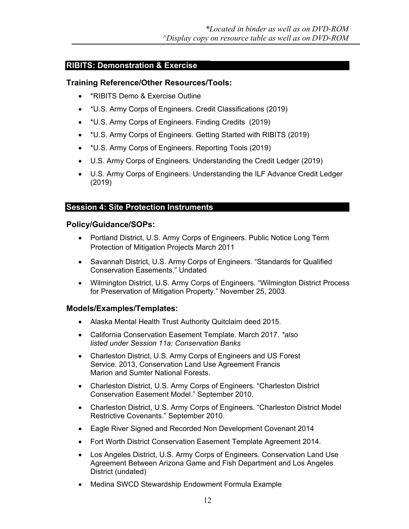### **RIBITS: Demonstration & Exercise**

### **Training Reference/Other Resources/Tools:**

- \*RIBITS Demo & Exercise Outline
- \* U.S. Army Corps of Engineers. Credit Classifications (2019)
- \* U.S. Army Corps of Engineers. Finding Credits (2019)
- \*U.S. Army Corps of Engineers. Getting Started with RIBITS (2019)
- \*U.S. Army Corps of Engineers. Reporting Tools (2019)
- U.S. Army Corps of Engineers. Understanding the Credit Ledger (2019)
- U.S. Army Corps of Engineers. Understanding the ILF Advance Credit Ledger (2019)

### **Session 4: Site Protection Instruments**

### **Policy/Guidance/SOPs:**

- Portland District, U.S. Army Corps of Engineers. Public Notice Long Term Protection of Mitigation Projects March 2011
- Savannah District, U.S. Army Corps of Engineers. "Standards for Qualified Conservation Easements." Undated
- Wilmington District, U.S. Army Corps of Engineers. "Wilmington District Process for Preservation of Mitigation Property." November 25, 2003.

- Alaska Mental Health Trust Authority Quitclaim deed 2015.
- California Conservation Easement Template. March 2017. *\*also listed under Session 11a: Conservation Banks*
- Charleston District, U.S. Army Corps of Engineers and US Forest Service. 2013, Conservation Land Use Agreement Francis Marion and Sumter National Forests.
- Charleston District, U.S. Army Corps of Engineers. "Charleston District Conservation Easement Model." September 2010.
- Charleston District, U.S. Army Corps of Engineers. "Charleston District Model Restrictive Covenants." September 2010.
- Eagle River Signed and Recorded Non Development Covenant 2014
- Fort Worth District Conservation Easement Template Agreement 2014.
- Los Angeles District, U.S. Army Corps of Engineers. Conservation Land Use Agreement Between Arizona Game and Fish Department and Los Angeles District (undated)
- Medina SWCD Stewardship Endowment Formula Example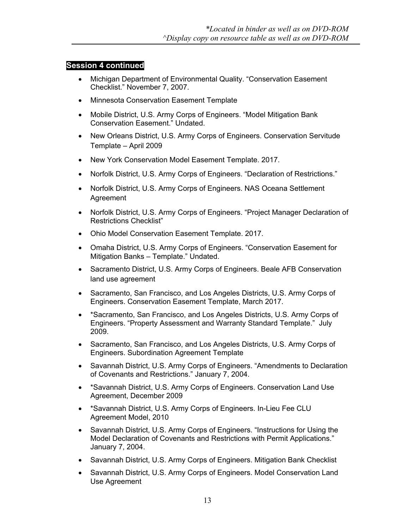- Michigan Department of Environmental Quality. "Conservation Easement Checklist." November 7, 2007.
- Minnesota Conservation Easement Template
- Mobile District, U.S. Army Corps of Engineers. "Model Mitigation Bank Conservation Easement." Undated.
- New Orleans District, U.S. Army Corps of Engineers. Conservation Servitude Template – April 2009
- New York Conservation Model Easement Template. 2017.
- Norfolk District, U.S. Army Corps of Engineers. "Declaration of Restrictions."
- Norfolk District, U.S. Army Corps of Engineers. NAS Oceana Settlement Agreement
- Norfolk District, U.S. Army Corps of Engineers. "Project Manager Declaration of Restrictions Checklist"
- Ohio Model Conservation Easement Template. 2017.
- Omaha District, U.S. Army Corps of Engineers. "Conservation Easement for Mitigation Banks – Template." Undated.
- Sacramento District, U.S. Army Corps of Engineers. Beale AFB Conservation land use agreement
- Sacramento, San Francisco, and Los Angeles Districts, U.S. Army Corps of Engineers. Conservation Easement Template, March 2017.
- \*Sacramento, San Francisco, and Los Angeles Districts, U.S. Army Corps of Engineers. "Property Assessment and Warranty Standard Template." July 2009.
- Sacramento, San Francisco, and Los Angeles Districts, U.S. Army Corps of Engineers. Subordination Agreement Template
- Savannah District, U.S. Army Corps of Engineers. "Amendments to Declaration of Covenants and Restrictions." January 7, 2004.
- \*Savannah District, U.S. Army Corps of Engineers. Conservation Land Use Agreement, December 2009
- \*Savannah District, U.S. Army Corps of Engineers. In-Lieu Fee CLU Agreement Model, 2010
- Savannah District, U.S. Army Corps of Engineers. "Instructions for Using the Model Declaration of Covenants and Restrictions with Permit Applications." January 7, 2004.
- Savannah District, U.S. Army Corps of Engineers. Mitigation Bank Checklist
- Savannah District, U.S. Army Corps of Engineers. Model Conservation Land Use Agreement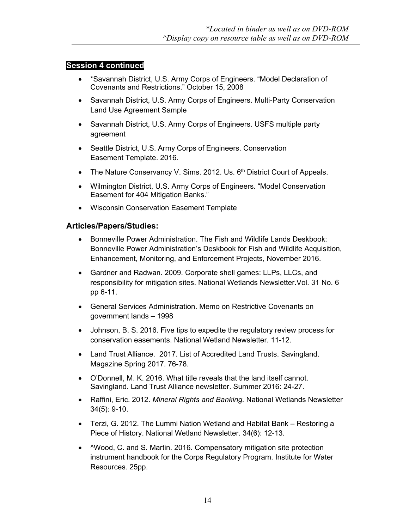- \*Savannah District, U.S. Army Corps of Engineers. "Model Declaration of Covenants and Restrictions." October 15, 2008
- Savannah District, U.S. Army Corps of Engineers. Multi-Party Conservation Land Use Agreement Sample
- Savannah District, U.S. Army Corps of Engineers. USFS multiple party agreement
- Seattle District, U.S. Army Corps of Engineers. Conservation Easement Template. 2016.
- The Nature Conservancy V. Sims. 2012. Us. 6<sup>th</sup> District Court of Appeals.
- Wilmington District, U.S. Army Corps of Engineers. "Model Conservation Easement for 404 Mitigation Banks."
- Wisconsin Conservation Easement Template

### **Articles/Papers/Studies:**

- Bonneville Power Administration. The Fish and Wildlife Lands Deskbook: Bonneville Power Administration's Deskbook for Fish and Wildlife Acquisition, Enhancement, Monitoring, and Enforcement Projects, November 2016.
- Gardner and Radwan. 2009. Corporate shell games: LLPs, LLCs, and responsibility for mitigation sites. National Wetlands Newsletter.Vol. 31 No. 6 pp 6-11.
- General Services Administration. Memo on Restrictive Covenants on government lands – 1998
- Johnson, B. S. 2016. Five tips to expedite the regulatory review process for conservation easements. National Wetland Newsletter. 11-12.
- Land Trust Alliance. 2017. List of Accredited Land Trusts. Savingland. Magazine Spring 2017. 76-78.
- O'Donnell, M. K. 2016. What title reveals that the land itself cannot. Savingland. Land Trust Alliance newsletter. Summer 2016: 24-27.
- Raffini, Eric. 2012. *Mineral Rights and Banking.* National Wetlands Newsletter 34(5): 9-10.
- Terzi, G. 2012. The Lummi Nation Wetland and Habitat Bank Restoring a Piece of History. National Wetland Newsletter. 34(6): 12-13.
- N/Vood, C. and S. Martin. 2016. Compensatory mitigation site protection instrument handbook for the Corps Regulatory Program. Institute for Water Resources. 25pp.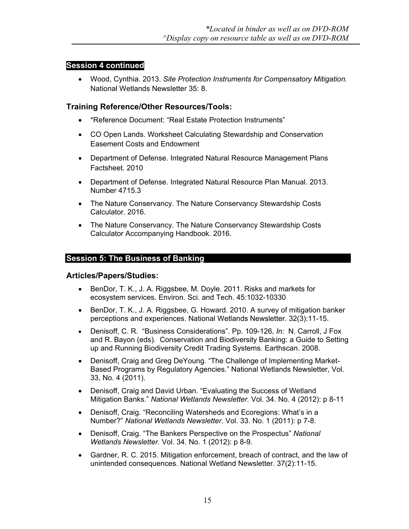Wood, Cynthia. 2013. *Site Protection Instruments for Compensatory Mitigation.*  National Wetlands Newsletter 35: 8.

### **Training Reference/Other Resources/Tools:**

- \*Reference Document: "Real Estate Protection Instruments"
- CO Open Lands. Worksheet Calculating Stewardship and Conservation Easement Costs and Endowment
- Department of Defense. Integrated Natural Resource Management Plans Factsheet. 2010
- Department of Defense. Integrated Natural Resource Plan Manual. 2013. Number 4715.3
- The Nature Conservancy. The Nature Conservancy Stewardship Costs Calculator. 2016.
- The Nature Conservancy. The Nature Conservancy Stewardship Costs Calculator Accompanying Handbook. 2016.

### **Session 5: The Business of Banking**

### **Articles/Papers/Studies:**

- BenDor, T. K., J. A. Riggsbee, M. Doyle. 2011. Risks and markets for ecosystem services. Environ. Sci. and Tech. 45:1032-10330
- BenDor, T. K., J. A. Riggsbee, G. Howard. 2010. A survey of mitigation banker perceptions and experiences. National Wetlands Newsletter. 32(3):11-15.
- Denisoff, C. R. "Business Considerations". Pp. 109-126, *In:* N. Carroll, J Fox and R. Bayon (eds). Conservation and Biodiversity Banking: a Guide to Setting up and Running Biodiversity Credit Trading Systems. Earthscan. 2008.
- Denisoff, Craig and Greg DeYoung. "The Challenge of Implementing Market-Based Programs by Regulatory Agencies." National Wetlands Newsletter, Vol. 33, No. 4 (2011).
- Denisoff, Craig and David Urban. "Evaluating the Success of Wetland Mitigation Banks." *National Wetlands Newsletter.* Vol. 34. No. 4 (2012): p 8-11
- Denisoff, Craig. "Reconciling Watersheds and Ecoregions: What's in a Number?" *National Wetlands Newsletter*. Vol. 33. No. 1 (2011): p 7-8.
- Denisoff, Craig. "The Bankers Perspective on the Prospectus" *National Wetlands Newsletter.* Vol. 34. No. 1 (2012): p 8-9.
- Gardner, R. C. 2015. Mitigation enforcement, breach of contract, and the law of unintended consequences. National Wetland Newsletter. 37(2):11-15.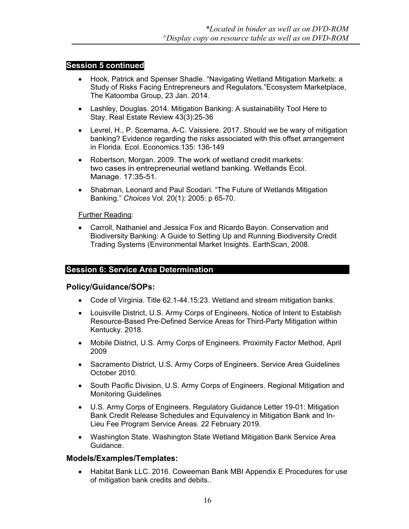- Hook, Patrick and Spenser Shadle. "Navigating Wetland Mitigation Markets: a Study of Risks Facing Entrepreneurs and Regulators."Ecosystem Marketplace, The Katoomba Group, 23 Jan. 2014.
- Lashley, Douglas. 2014. Mitigation Banking: A sustainability Tool Here to Stay. Real Estate Review 43(3):25-36
- Levrel, H., P. Scemama, A-C. Vaissiere. 2017. Should we be wary of mitigation banking? Evidence regarding the risks associated with this offset arrangement in Florida. Ecol. Economics.135: 136-149
- Robertson, Morgan. 2009. The work of wetland credit markets: two cases in entrepreneurial wetland banking. Wetlands Ecol. Manage. 17:35-51.
- Shabman, Leonard and Paul Scodari. "The Future of Wetlands Mitigation Banking." *Choices* Vol. 20(1): 2005: p 65-70.

#### Further Reading:

 Carroll, Nathaniel and Jessica Fox and Ricardo Bayon. Conservation and Biodiversity Banking: A Guide to Setting Up and Running Biodiversity Credit Trading Systems (Environmental Market Insights. EarthScan, 2008.

### **Session 6: Service Area Determination**

### **Policy/Guidance/SOPs:**

- Code of Virginia. Title 62.1-44.15:23. Wetland and stream mitigation banks.
- Louisville District, U.S. Army Corps of Engineers. Notice of Intent to Establish Resource-Based Pre-Defined Service Areas for Third-Party Mitigation within Kentucky. 2018.
- Mobile District, U.S. Army Corps of Engineers. Proximity Factor Method, April 2009
- Sacramento District, U.S. Army Corps of Engineers. Service Area Guidelines October 2010.
- South Pacific Division, U.S. Army Corps of Engineers. Regional Mitigation and Monitoring Guidelines
- U.S. Army Corps of Engineers. Regulatory Guidance Letter 19-01: Mitigation Bank Credit Release Schedules and Equivalency in Mitigation Bank and In-Lieu Fee Program Service Areas. 22 February 2019.
- Washington State. Washington State Wetland Mitigation Bank Service Area Guidance.

### **Models/Examples/Templates:**

 Habitat Bank LLC. 2016. Coweeman Bank MBI Appendix E Procedures for use of mitigation bank credits and debits..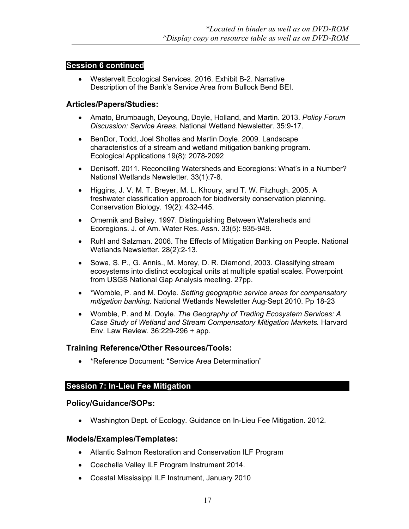Westervelt Ecological Services. 2016. Exhibit B-2. Narrative Description of the Bank's Service Area from Bullock Bend BEI.

### **Articles/Papers/Studies:**

- Amato, Brumbaugh, Deyoung, Doyle, Holland, and Martin. 2013. *Policy Forum Discussion: Service Areas.* National Wetland Newsletter. 35:9-17.
- BenDor, Todd, Joel Sholtes and Martin Doyle. 2009. Landscape characteristics of a stream and wetland mitigation banking program. Ecological Applications 19(8): 2078-2092
- Denisoff. 2011. Reconciling Watersheds and Ecoregions: What's in a Number? National Wetlands Newsletter. 33(1):7-8.
- Higgins, J. V. M. T. Breyer, M. L. Khoury, and T. W. Fitzhugh. 2005. A freshwater classification approach for biodiversity conservation planning. Conservation Biology. 19(2): 432-445.
- Omernik and Bailey. 1997. Distinguishing Between Watersheds and Ecoregions. J. of Am. Water Res. Assn. 33(5): 935-949.
- Ruhl and Salzman. 2006. The Effects of Mitigation Banking on People. National Wetlands Newsletter. 28(2):2-13.
- Sowa, S. P., G. Annis., M. Morey, D. R. Diamond, 2003. Classifying stream ecosystems into distinct ecological units at multiple spatial scales. Powerpoint from USGS National Gap Analysis meeting. 27pp.
- \*Womble, P. and M. Doyle. *Setting geographic service areas for compensatory mitigation banking.* National Wetlands Newsletter Aug-Sept 2010. Pp 18-23
- Womble, P. and M. Doyle. *The Geography of Trading Ecosystem Services: A Case Study of Wetland and Stream Compensatory Mitigation Markets.* Harvard Env. Law Review. 36:229-296 + app.

### **Training Reference/Other Resources/Tools:**

\*Reference Document: "Service Area Determination"

### **Session 7: In-Lieu Fee Mitigation**

### **Policy/Guidance/SOPs:**

Washington Dept. of Ecology. Guidance on In-Lieu Fee Mitigation. 2012.

- Atlantic Salmon Restoration and Conservation ILF Program
- Coachella Valley ILF Program Instrument 2014.
- Coastal Mississippi ILF Instrument, January 2010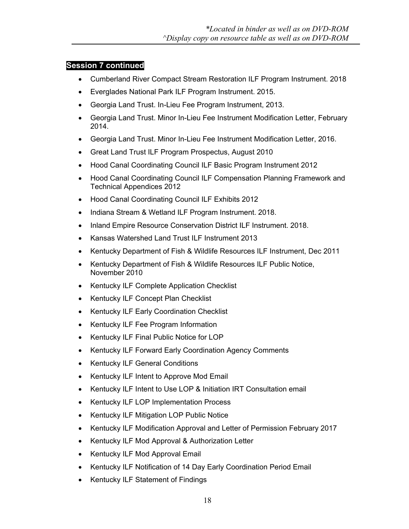- Cumberland River Compact Stream Restoration ILF Program Instrument. 2018
- Everglades National Park ILF Program Instrument. 2015.
- Georgia Land Trust. In-Lieu Fee Program Instrument, 2013.
- Georgia Land Trust. Minor In-Lieu Fee Instrument Modification Letter, February 2014.
- Georgia Land Trust. Minor In-Lieu Fee Instrument Modification Letter, 2016.
- Great Land Trust ILF Program Prospectus, August 2010
- Hood Canal Coordinating Council ILF Basic Program Instrument 2012
- Hood Canal Coordinating Council ILF Compensation Planning Framework and Technical Appendices 2012
- Hood Canal Coordinating Council ILF Exhibits 2012
- Indiana Stream & Wetland ILF Program Instrument. 2018.
- Inland Empire Resource Conservation District ILF Instrument. 2018.
- Kansas Watershed Land Trust ILF Instrument 2013
- Kentucky Department of Fish & Wildlife Resources ILF Instrument, Dec 2011
- Kentucky Department of Fish & Wildlife Resources ILF Public Notice, November 2010
- Kentucky ILF Complete Application Checklist
- Kentucky ILF Concept Plan Checklist
- Kentucky ILF Early Coordination Checklist
- Kentucky ILF Fee Program Information
- Kentucky ILF Final Public Notice for LOP
- Kentucky ILF Forward Early Coordination Agency Comments
- Kentucky ILF General Conditions
- Kentucky ILF Intent to Approve Mod Email
- Kentucky ILF Intent to Use LOP & Initiation IRT Consultation email
- Kentucky ILF LOP Implementation Process
- Kentucky ILF Mitigation LOP Public Notice
- Kentucky ILF Modification Approval and Letter of Permission February 2017
- Kentucky ILF Mod Approval & Authorization Letter
- Kentucky ILF Mod Approval Email
- Kentucky ILF Notification of 14 Day Early Coordination Period Email
- Kentucky ILF Statement of Findings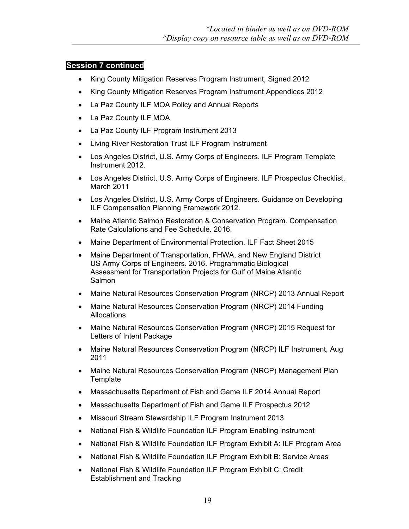- King County Mitigation Reserves Program Instrument, Signed 2012
- King County Mitigation Reserves Program Instrument Appendices 2012
- La Paz County ILF MOA Policy and Annual Reports
- La Paz County ILF MOA
- La Paz County ILF Program Instrument 2013
- Living River Restoration Trust ILF Program Instrument
- Los Angeles District, U.S. Army Corps of Engineers. ILF Program Template Instrument 2012.
- Los Angeles District, U.S. Army Corps of Engineers. ILF Prospectus Checklist, March 2011
- Los Angeles District, U.S. Army Corps of Engineers. Guidance on Developing ILF Compensation Planning Framework 2012.
- Maine Atlantic Salmon Restoration & Conservation Program. Compensation Rate Calculations and Fee Schedule. 2016.
- Maine Department of Environmental Protection. ILF Fact Sheet 2015
- Maine Department of Transportation, FHWA, and New England District US Army Corps of Engineers. 2016. Programmatic Biological Assessment for Transportation Projects for Gulf of Maine Atlantic Salmon
- Maine Natural Resources Conservation Program (NRCP) 2013 Annual Report
- Maine Natural Resources Conservation Program (NRCP) 2014 Funding Allocations
- Maine Natural Resources Conservation Program (NRCP) 2015 Request for Letters of Intent Package
- Maine Natural Resources Conservation Program (NRCP) ILF Instrument, Aug 2011
- Maine Natural Resources Conservation Program (NRCP) Management Plan **Template**
- Massachusetts Department of Fish and Game ILF 2014 Annual Report
- Massachusetts Department of Fish and Game ILF Prospectus 2012
- Missouri Stream Stewardship ILF Program Instrument 2013
- National Fish & Wildlife Foundation ILF Program Enabling instrument
- National Fish & Wildlife Foundation ILF Program Exhibit A: ILF Program Area
- National Fish & Wildlife Foundation ILF Program Exhibit B: Service Areas
- National Fish & Wildlife Foundation ILF Program Exhibit C: Credit Establishment and Tracking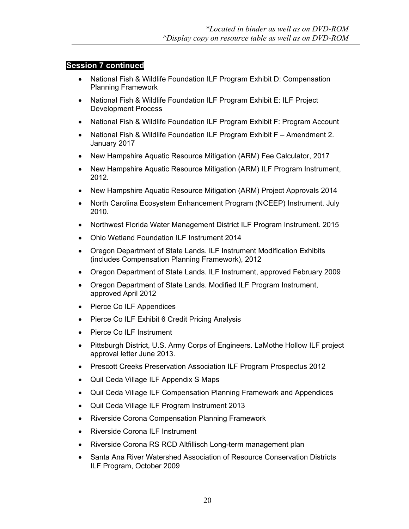- National Fish & Wildlife Foundation ILF Program Exhibit D: Compensation Planning Framework
- National Fish & Wildlife Foundation ILF Program Exhibit E: ILF Project Development Process
- National Fish & Wildlife Foundation ILF Program Exhibit F: Program Account
- National Fish & Wildlife Foundation ILF Program Exhibit F Amendment 2. January 2017
- New Hampshire Aquatic Resource Mitigation (ARM) Fee Calculator, 2017
- New Hampshire Aquatic Resource Mitigation (ARM) ILF Program Instrument, 2012.
- New Hampshire Aquatic Resource Mitigation (ARM) Project Approvals 2014
- North Carolina Ecosystem Enhancement Program (NCEEP) Instrument. July 2010.
- Northwest Florida Water Management District ILF Program Instrument. 2015
- Ohio Wetland Foundation ILF Instrument 2014
- Oregon Department of State Lands. ILF Instrument Modification Exhibits (includes Compensation Planning Framework), 2012
- Oregon Department of State Lands. ILF Instrument, approved February 2009
- Oregon Department of State Lands. Modified ILF Program Instrument, approved April 2012
- Pierce Co ILF Appendices
- Pierce Co ILF Exhibit 6 Credit Pricing Analysis
- Pierce Co ILF Instrument
- Pittsburgh District, U.S. Army Corps of Engineers. LaMothe Hollow ILF project approval letter June 2013.
- Prescott Creeks Preservation Association ILF Program Prospectus 2012
- Quil Ceda Village ILF Appendix S Maps
- Quil Ceda Village ILF Compensation Planning Framework and Appendices
- Quil Ceda Village ILF Program Instrument 2013
- Riverside Corona Compensation Planning Framework
- Riverside Corona ILF Instrument
- Riverside Corona RS RCD Altfillisch Long-term management plan
- Santa Ana River Watershed Association of Resource Conservation Districts ILF Program, October 2009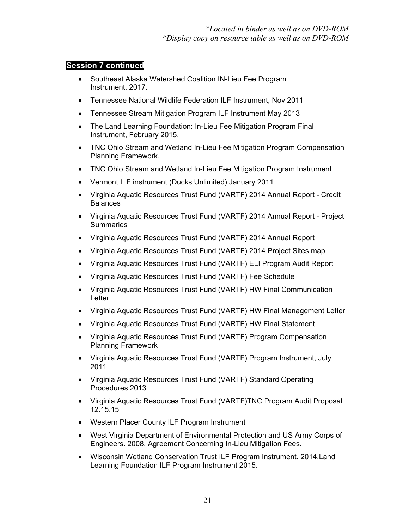- Southeast Alaska Watershed Coalition IN-Lieu Fee Program Instrument. 2017.
- Tennessee National Wildlife Federation ILF Instrument, Nov 2011
- Tennessee Stream Mitigation Program ILF Instrument May 2013
- The Land Learning Foundation: In-Lieu Fee Mitigation Program Final Instrument, February 2015.
- TNC Ohio Stream and Wetland In-Lieu Fee Mitigation Program Compensation Planning Framework.
- TNC Ohio Stream and Wetland In-Lieu Fee Mitigation Program Instrument
- Vermont ILF instrument (Ducks Unlimited) January 2011
- Virginia Aquatic Resources Trust Fund (VARTF) 2014 Annual Report Credit Balances
- Virginia Aquatic Resources Trust Fund (VARTF) 2014 Annual Report Project **Summaries**
- Virginia Aquatic Resources Trust Fund (VARTF) 2014 Annual Report
- Virginia Aquatic Resources Trust Fund (VARTF) 2014 Project Sites map
- Virginia Aquatic Resources Trust Fund (VARTF) ELI Program Audit Report
- Virginia Aquatic Resources Trust Fund (VARTF) Fee Schedule
- Virginia Aquatic Resources Trust Fund (VARTF) HW Final Communication **Letter**
- Virginia Aquatic Resources Trust Fund (VARTF) HW Final Management Letter
- Virginia Aquatic Resources Trust Fund (VARTF) HW Final Statement
- Virginia Aquatic Resources Trust Fund (VARTF) Program Compensation Planning Framework
- Virginia Aquatic Resources Trust Fund (VARTF) Program Instrument, July 2011
- Virginia Aquatic Resources Trust Fund (VARTF) Standard Operating Procedures 2013
- Virginia Aquatic Resources Trust Fund (VARTF)TNC Program Audit Proposal 12.15.15
- Western Placer County ILF Program Instrument
- West Virginia Department of Environmental Protection and US Army Corps of Engineers. 2008. Agreement Concerning In-Lieu Mitigation Fees.
- Wisconsin Wetland Conservation Trust ILF Program Instrument. 2014.Land Learning Foundation ILF Program Instrument 2015.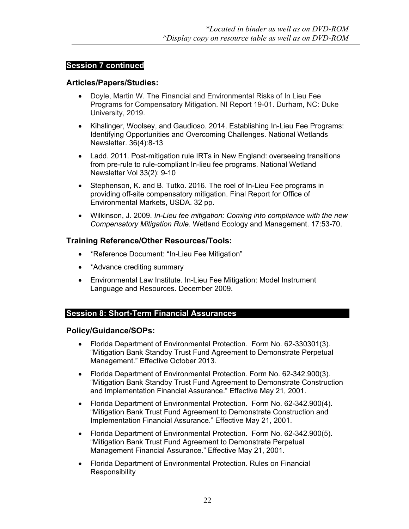### **Articles/Papers/Studies:**

- Doyle, Martin W. The Financial and Environmental Risks of In Lieu Fee Programs for Compensatory Mitigation. NI Report 19-01. Durham, NC: Duke University, 2019.
- Kihslinger, Woolsey, and Gaudioso. 2014. Establishing In-Lieu Fee Programs: Identifying Opportunities and Overcoming Challenges. National Wetlands Newsletter. 36(4):8-13
- Ladd. 2011. Post-mitigation rule IRTs in New England: overseeing transitions from pre-rule to rule-compliant In-lieu fee programs. National Wetland Newsletter Vol 33(2): 9-10
- Stephenson, K. and B. Tutko. 2016. The roel of In-Lieu Fee programs in providing off-site compensatory mitigation. Final Report for Office of Environmental Markets, USDA. 32 pp.
- Wilkinson, J. 2009. *In-Lieu fee mitigation: Coming into compliance with the new Compensatory Mitigation Rule.* Wetland Ecology and Management. 17:53-70.

### **Training Reference/Other Resources/Tools:**

- \*Reference Document: "In-Lieu Fee Mitigation"
- \*Advance crediting summary
- Environmental Law Institute. In-Lieu Fee Mitigation: Model Instrument Language and Resources. December 2009.

### **Session 8: Short-Term Financial Assurances**

### **Policy/Guidance/SOPs:**

- Florida Department of Environmental Protection. Form No. 62-330301(3). "Mitigation Bank Standby Trust Fund Agreement to Demonstrate Perpetual Management." Effective October 2013.
- Florida Department of Environmental Protection. Form No. 62-342.900(3). "Mitigation Bank Standby Trust Fund Agreement to Demonstrate Construction and Implementation Financial Assurance." Effective May 21, 2001.
- Florida Department of Environmental Protection. Form No. 62-342.900(4). "Mitigation Bank Trust Fund Agreement to Demonstrate Construction and Implementation Financial Assurance." Effective May 21, 2001.
- Florida Department of Environmental Protection. Form No. 62-342.900(5). "Mitigation Bank Trust Fund Agreement to Demonstrate Perpetual Management Financial Assurance." Effective May 21, 2001.
- Florida Department of Environmental Protection. Rules on Financial Responsibility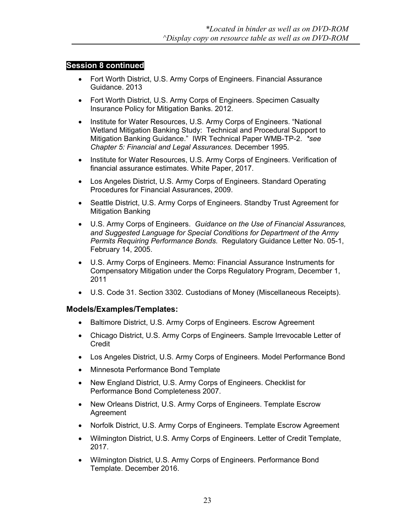- Fort Worth District, U.S. Army Corps of Engineers. Financial Assurance Guidance. 2013
- Fort Worth District, U.S. Army Corps of Engineers. Specimen Casualty Insurance Policy for Mitigation Banks. 2012.
- Institute for Water Resources, U.S. Army Corps of Engineers. "National Wetland Mitigation Banking Study: Technical and Procedural Support to Mitigation Banking Guidance." IWR Technical Paper WMB-TP-2. *\*see Chapter 5: Financial and Legal Assurances.* December 1995.
- Institute for Water Resources, U.S. Army Corps of Engineers. Verification of financial assurance estimates. White Paper, 2017.
- Los Angeles District, U.S. Army Corps of Engineers. Standard Operating Procedures for Financial Assurances, 2009.
- Seattle District, U.S. Army Corps of Engineers. Standby Trust Agreement for Mitigation Banking
- U.S. Army Corps of Engineers. *Guidance on the Use of Financial Assurances, and Suggested Language for Special Conditions for Department of the Army Permits Requiring Performance Bonds.* Regulatory Guidance Letter No. 05-1, February 14, 2005.
- U.S. Army Corps of Engineers. Memo: Financial Assurance Instruments for Compensatory Mitigation under the Corps Regulatory Program, December 1, 2011
- U.S. Code 31. Section 3302. Custodians of Money (Miscellaneous Receipts).

- Baltimore District, U.S. Army Corps of Engineers. Escrow Agreement
- Chicago District, U.S. Army Corps of Engineers. Sample Irrevocable Letter of Credit
- Los Angeles District, U.S. Army Corps of Engineers. Model Performance Bond
- Minnesota Performance Bond Template
- New England District, U.S. Army Corps of Engineers. Checklist for Performance Bond Completeness 2007.
- New Orleans District, U.S. Army Corps of Engineers. Template Escrow Agreement
- Norfolk District, U.S. Army Corps of Engineers. Template Escrow Agreement
- Wilmington District, U.S. Army Corps of Engineers. Letter of Credit Template, 2017.
- Wilmington District, U.S. Army Corps of Engineers. Performance Bond Template. December 2016.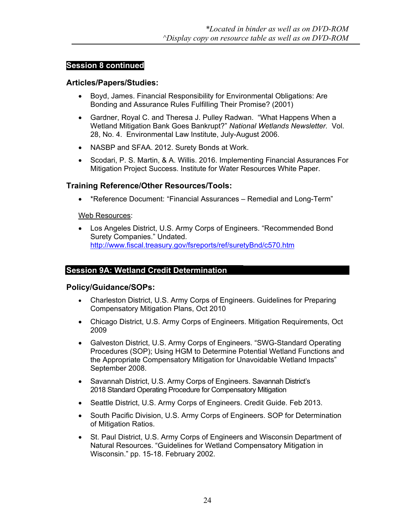### **Articles/Papers/Studies:**

- Boyd, James. Financial Responsibility for Environmental Obligations: Are Bonding and Assurance Rules Fulfilling Their Promise? (2001)
- Gardner, Royal C. and Theresa J. Pulley Radwan. "What Happens When a Wetland Mitigation Bank Goes Bankrupt?" *National Wetlands Newsletter.* Vol. 28, No. 4. Environmental Law Institute, July-August 2006.
- NASBP and SFAA. 2012. Surety Bonds at Work.
- Scodari, P. S. Martin, & A. Willis. 2016. Implementing Financial Assurances For Mitigation Project Success. Institute for Water Resources White Paper.

### **Training Reference/Other Resources/Tools:**

\*Reference Document: "Financial Assurances – Remedial and Long-Term"

### Web Resources:

 Los Angeles District, U.S. Army Corps of Engineers. "Recommended Bond Surety Companies." Undated. http://www.fiscal.treasury.gov/fsreports/ref/suretyBnd/c570.htm

### **Session 9A: Wetland Credit Determination**

### **Policy/Guidance/SOPs:**

- Charleston District, U.S. Army Corps of Engineers. Guidelines for Preparing Compensatory Mitigation Plans, Oct 2010
- Chicago District, U.S. Army Corps of Engineers. Mitigation Requirements, Oct 2009
- Galveston District, U.S. Army Corps of Engineers. "SWG-Standard Operating Procedures (SOP); Using HGM to Determine Potential Wetland Functions and the Appropriate Compensatory Mitigation for Unavoidable Wetland Impacts" September 2008.
- Savannah District, U.S. Army Corps of Engineers. Savannah District's 2018 Standard Operating Procedure for Compensatory Mitigation
- Seattle District, U.S. Army Corps of Engineers. Credit Guide. Feb 2013.
- South Pacific Division, U.S. Army Corps of Engineers. SOP for Determination of Mitigation Ratios.
- St. Paul District, U.S. Army Corps of Engineers and Wisconsin Department of Natural Resources. "Guidelines for Wetland Compensatory Mitigation in Wisconsin." pp. 15-18. February 2002.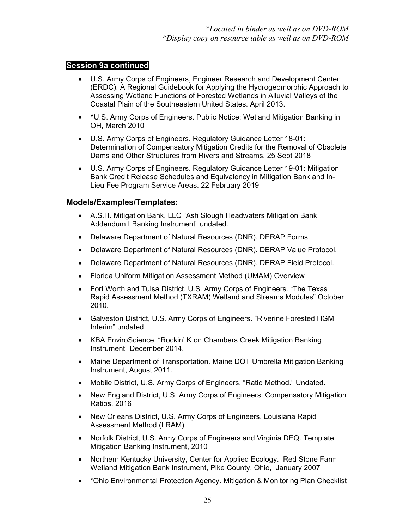- U.S. Army Corps of Engineers, Engineer Research and Development Center (ERDC). A Regional Guidebook for Applying the Hydrogeomorphic Approach to Assessing Wetland Functions of Forested Wetlands in Alluvial Valleys of the Coastal Plain of the Southeastern United States. April 2013.
- ^U.S. Army Corps of Engineers. Public Notice: Wetland Mitigation Banking in OH, March 2010
- U.S. Army Corps of Engineers. Regulatory Guidance Letter 18-01: Determination of Compensatory Mitigation Credits for the Removal of Obsolete Dams and Other Structures from Rivers and Streams. 25 Sept 2018
- U.S. Army Corps of Engineers. Regulatory Guidance Letter 19-01: Mitigation Bank Credit Release Schedules and Equivalency in Mitigation Bank and In-Lieu Fee Program Service Areas. 22 February 2019

- A.S.H. Mitigation Bank, LLC "Ash Slough Headwaters Mitigation Bank Addendum I Banking Instrument" undated.
- Delaware Department of Natural Resources (DNR). DERAP Forms.
- Delaware Department of Natural Resources (DNR). DERAP Value Protocol.
- Delaware Department of Natural Resources (DNR). DERAP Field Protocol.
- Florida Uniform Mitigation Assessment Method (UMAM) Overview
- Fort Worth and Tulsa District, U.S. Army Corps of Engineers. "The Texas Rapid Assessment Method (TXRAM) Wetland and Streams Modules" October 2010.
- Galveston District, U.S. Army Corps of Engineers. "Riverine Forested HGM Interim" undated.
- KBA EnviroScience, "Rockin' K on Chambers Creek Mitigation Banking Instrument" December 2014.
- Maine Department of Transportation. Maine DOT Umbrella Mitigation Banking Instrument, August 2011.
- Mobile District, U.S. Army Corps of Engineers. "Ratio Method." Undated.
- New England District, U.S. Army Corps of Engineers. Compensatory Mitigation Ratios, 2016
- New Orleans District, U.S. Army Corps of Engineers. Louisiana Rapid Assessment Method (LRAM)
- Norfolk District, U.S. Army Corps of Engineers and Virginia DEQ. Template Mitigation Banking Instrument, 2010
- Northern Kentucky University, Center for Applied Ecology. Red Stone Farm Wetland Mitigation Bank Instrument, Pike County, Ohio, January 2007
- \* Ohio Environmental Protection Agency. Mitigation & Monitoring Plan Checklist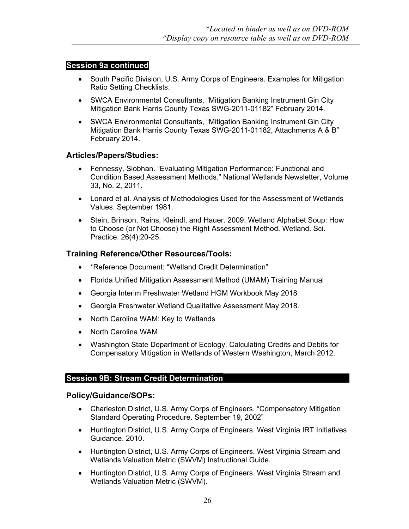- South Pacific Division, U.S. Army Corps of Engineers. Examples for Mitigation Ratio Setting Checklists.
- SWCA Environmental Consultants, "Mitigation Banking Instrument Gin City Mitigation Bank Harris County Texas SWG-2011-01182" February 2014.
- SWCA Environmental Consultants, "Mitigation Banking Instrument Gin City Mitigation Bank Harris County Texas SWG-2011-01182, Attachments A & B" February 2014.

### **Articles/Papers/Studies:**

- Fennessy, Siobhan. "Evaluating Mitigation Performance: Functional and Condition Based Assessment Methods." National Wetlands Newsletter, Volume 33, No. 2, 2011.
- Lonard et al. Analysis of Methodologies Used for the Assessment of Wetlands Values. September 1981.
- Stein, Brinson, Rains, Kleindl, and Hauer. 2009. Wetland Alphabet Soup: How to Choose (or Not Choose) the Right Assessment Method. Wetland. Sci. Practice. 26(4):20-25.

### **Training Reference/Other Resources/Tools:**

- \*Reference Document: "Wetland Credit Determination"
- Florida Unified Mitigation Assessment Method (UMAM) Training Manual
- Georgia Interim Freshwater Wetland HGM Workbook May 2018
- Georgia Freshwater Wetland Qualitative Assessment May 2018.
- North Carolina WAM: Key to Wetlands
- North Carolina WAM
- Washington State Department of Ecology. Calculating Credits and Debits for Compensatory Mitigation in Wetlands of Western Washington, March 2012.

### **Session 9B: Stream Credit Determination**

#### **Policy/Guidance/SOPs:**

- Charleston District, U.S. Army Corps of Engineers. "Compensatory Mitigation Standard Operating Procedure. September 19, 2002"
- Huntington District, U.S. Army Corps of Engineers. West Virginia IRT Initiatives Guidance. 2010.
- Huntington District, U.S. Army Corps of Engineers. West Virginia Stream and Wetlands Valuation Metric (SWVM) Instructional Guide.
- Huntington District, U.S. Army Corps of Engineers. West Virginia Stream and Wetlands Valuation Metric (SWVM).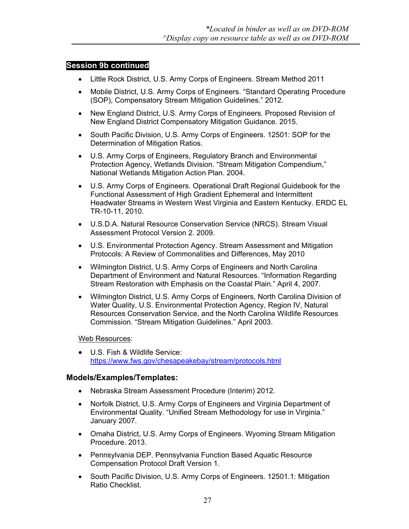- Little Rock District, U.S. Army Corps of Engineers. Stream Method 2011
- Mobile District, U.S. Army Corps of Engineers. "Standard Operating Procedure (SOP), Compensatory Stream Mitigation Guidelines." 2012.
- New England District, U.S. Army Corps of Engineers. Proposed Revision of New England District Compensatory Mitigation Guidance. 2015.
- South Pacific Division, U.S. Army Corps of Engineers. 12501: SOP for the Determination of Mitigation Ratios.
- U.S. Army Corps of Engineers, Regulatory Branch and Environmental Protection Agency, Wetlands Division. "Stream Mitigation Compendium," National Wetlands Mitigation Action Plan. 2004.
- U.S. Army Corps of Engineers. Operational Draft Regional Guidebook for the Functional Assessment of High Gradient Ephemeral and Intermittent Headwater Streams in Western West Virginia and Eastern Kentucky. ERDC EL TR-10-11, 2010.
- U.S.D.A. Natural Resource Conservation Service (NRCS). Stream Visual Assessment Protocol Version 2. 2009.
- U.S. Environmental Protection Agency. Stream Assessment and Mitigation Protocols: A Review of Commonalities and Differences, May 2010
- Wilmington District, U.S. Army Corps of Engineers and North Carolina Department of Environment and Natural Resources. "Information Regarding Stream Restoration with Emphasis on the Coastal Plain." April 4, 2007.
- Wilmington District, U.S. Army Corps of Engineers, North Carolina Division of Water Quality, U.S. Environmental Protection Agency, Region IV, Natural Resources Conservation Service, and the North Carolina Wildlife Resources Commission. "Stream Mitigation Guidelines." April 2003.

#### Web Resources:

 U.S. Fish & Wildlife Service: https://www.fws.gov/chesapeakebay/stream/protocols.html

- Nebraska Stream Assessment Procedure (Interim) 2012.
- Norfolk District, U.S. Army Corps of Engineers and Virginia Department of Environmental Quality. "Unified Stream Methodology for use in Virginia." January 2007.
- Omaha District, U.S. Army Corps of Engineers. Wyoming Stream Mitigation Procedure. 2013.
- Pennsylvania DEP. Pennsylvania Function Based Aquatic Resource Compensation Protocol Draft Version 1.
- South Pacific Division, U.S. Army Corps of Engineers. 12501.1: Mitigation Ratio Checklist.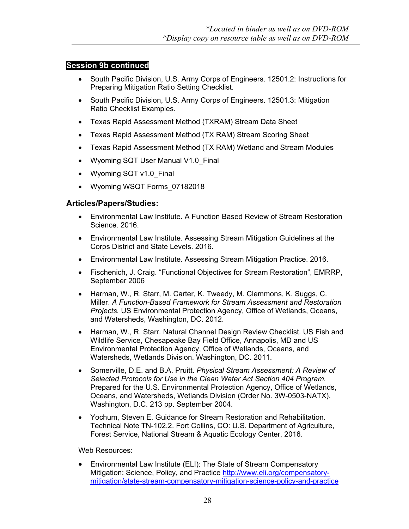- South Pacific Division, U.S. Army Corps of Engineers. 12501.2: Instructions for Preparing Mitigation Ratio Setting Checklist.
- South Pacific Division, U.S. Army Corps of Engineers. 12501.3: Mitigation Ratio Checklist Examples.
- Texas Rapid Assessment Method (TXRAM) Stream Data Sheet
- Texas Rapid Assessment Method (TX RAM) Stream Scoring Sheet
- Texas Rapid Assessment Method (TX RAM) Wetland and Stream Modules
- Wyoming SQT User Manual V1.0\_Final
- Wyoming SQT v1.0 Final
- Wyoming WSQT Forms\_07182018

### **Articles/Papers/Studies:**

- Environmental Law Institute. A Function Based Review of Stream Restoration Science. 2016.
- Environmental Law Institute. Assessing Stream Mitigation Guidelines at the Corps District and State Levels. 2016.
- Environmental Law Institute. Assessing Stream Mitigation Practice. 2016.
- Fischenich, J. Craig. "Functional Objectives for Stream Restoration", EMRRP, September 2006
- Harman, W., R. Starr, M. Carter, K. Tweedy, M. Clemmons, K. Suggs, C. Miller. *A Function-Based Framework for Stream Assessment and Restoration Projects.* US Environmental Protection Agency, Office of Wetlands, Oceans, and Watersheds, Washington, DC. 2012.
- Harman, W., R. Starr. Natural Channel Design Review Checklist. US Fish and Wildlife Service, Chesapeake Bay Field Office, Annapolis, MD and US Environmental Protection Agency, Office of Wetlands, Oceans, and Watersheds, Wetlands Division. Washington, DC. 2011.
- Somerville, D.E. and B.A. Pruitt. *Physical Stream Assessment: A Review of Selected Protocols for Use in the Clean Water Act Section 404 Program.* Prepared for the U.S. Environmental Protection Agency, Office of Wetlands, Oceans, and Watersheds, Wetlands Division (Order No. 3W-0503-NATX). Washington, D.C. 213 pp. September 2004.
- Yochum, Steven E. Guidance for Stream Restoration and Rehabilitation. Technical Note TN-102.2. Fort Collins, CO: U.S. Department of Agriculture, Forest Service, National Stream & Aquatic Ecology Center, 2016.

### Web Resources:

 Environmental Law Institute (ELI): The State of Stream Compensatory Mitigation: Science, Policy, and Practice http://www.eli.org/compensatorymitigation/state-stream-compensatory-mitigation-science-policy-and-practice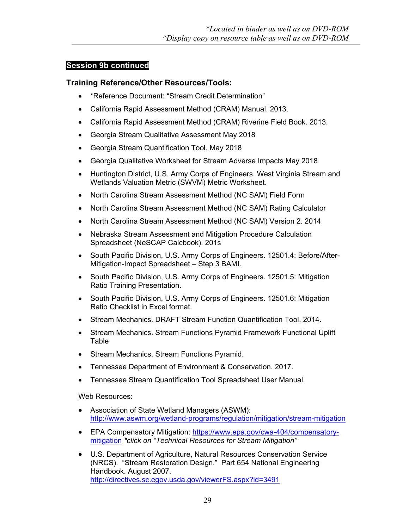### **Training Reference/Other Resources/Tools:**

- \*Reference Document: "Stream Credit Determination"
- California Rapid Assessment Method (CRAM) Manual. 2013.
- California Rapid Assessment Method (CRAM) Riverine Field Book. 2013.
- Georgia Stream Qualitative Assessment May 2018
- Georgia Stream Quantification Tool. May 2018
- Georgia Qualitative Worksheet for Stream Adverse Impacts May 2018
- Huntington District, U.S. Army Corps of Engineers. West Virginia Stream and Wetlands Valuation Metric (SWVM) Metric Worksheet.
- North Carolina Stream Assessment Method (NC SAM) Field Form
- North Carolina Stream Assessment Method (NC SAM) Rating Calculator
- North Carolina Stream Assessment Method (NC SAM) Version 2. 2014
- Nebraska Stream Assessment and Mitigation Procedure Calculation Spreadsheet (NeSCAP Calcbook). 201s
- South Pacific Division, U.S. Army Corps of Engineers. 12501.4: Before/After-Mitigation-Impact Spreadsheet – Step 3 BAMI.
- South Pacific Division, U.S. Army Corps of Engineers. 12501.5: Mitigation Ratio Training Presentation.
- South Pacific Division, U.S. Army Corps of Engineers. 12501.6: Mitigation Ratio Checklist in Excel format.
- Stream Mechanics. DRAFT Stream Function Quantification Tool. 2014.
- Stream Mechanics. Stream Functions Pyramid Framework Functional Uplift **Table**
- Stream Mechanics. Stream Functions Pyramid.
- Tennessee Department of Environment & Conservation. 2017.
- Tennessee Stream Quantification Tool Spreadsheet User Manual.

#### Web Resources:

- Association of State Wetland Managers (ASWM): http://www.aswm.org/wetland-programs/regulation/mitigation/stream-mitigation
- EPA Compensatory Mitigation: https://www.epa.gov/cwa-404/compensatorymitigation *\*click on "Technical Resources for Stream Mitigation"*
- U.S. Department of Agriculture, Natural Resources Conservation Service (NRCS). "Stream Restoration Design." Part 654 National Engineering Handbook. August 2007. http://directives.sc.egov.usda.gov/viewerFS.aspx?id=3491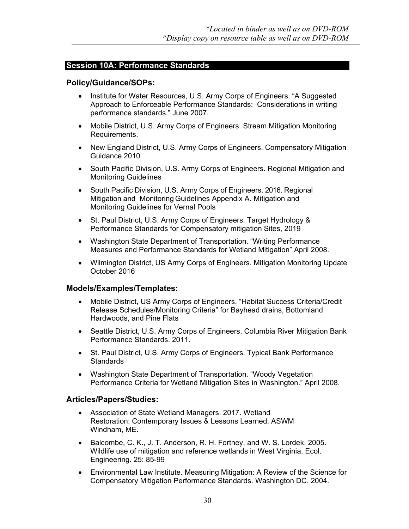### **Session 10A: Performance Standards**

#### **Policy/Guidance/SOPs:**

- Institute for Water Resources, U.S. Army Corps of Engineers. "A Suggested Approach to Enforceable Performance Standards: Considerations in writing performance standards." June 2007.
- Mobile District, U.S. Army Corps of Engineers. Stream Mitigation Monitoring Requirements.
- New England District, U.S. Army Corps of Engineers. Compensatory Mitigation Guidance 2010
- South Pacific Division, U.S. Army Corps of Engineers. Regional Mitigation and Monitoring Guidelines
- South Pacific Division, U.S. Army Corps of Engineers. 2016. Regional Mitigation and Monitoring Guidelines Appendix A. Mitigation and Monitoring Guidelines for Vernal Pools
- St. Paul District, U.S. Army Corps of Engineers. Target Hydrology & Performance Standards for Compensatory mitigation Sites, 2019
- Washington State Department of Transportation. "Writing Performance Measures and Performance Standards for Wetland Mitigation" April 2008.
- Wilmington District, US Army Corps of Engineers. Mitigation Monitoring Update October 2016

### **Models/Examples/Templates:**

- Mobile District, US Army Corps of Engineers. "Habitat Success Criteria/Credit Release Schedules/Monitoring Criteria" for Bayhead drains, Bottomland Hardwoods, and Pine Flats
- Seattle District, U.S. Army Corps of Engineers. Columbia River Mitigation Bank Performance Standards. 2011.
- St. Paul District, U.S. Army Corps of Engineers. Typical Bank Performance **Standards**
- Washington State Department of Transportation. "Woody Vegetation Performance Criteria for Wetland Mitigation Sites in Washington." April 2008.

#### **Articles/Papers/Studies:**

- Association of State Wetland Managers. 2017. Wetland Restoration: Contemporary Issues & Lessons Learned. ASWM Windham, ME.
- Balcombe, C. K., J. T. Anderson, R. H. Fortney, and W. S. Lordek. 2005. Wildlife use of mitigation and reference wetlands in West Virginia. Ecol. Engineering. 25: 85-99
- Environmental Law Institute. Measuring Mitigation: A Review of the Science for Compensatory Mitigation Performance Standards. Washington DC. 2004.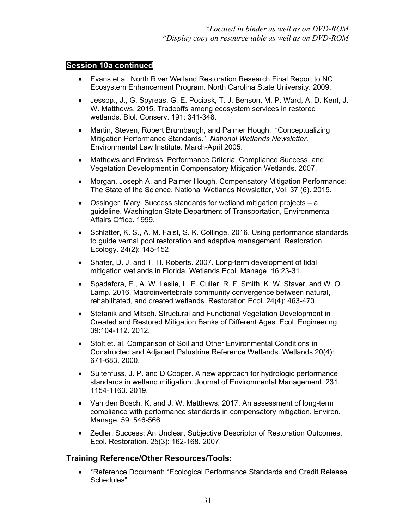### **Session 10a continued**

- Evans et al. North River Wetland Restoration Research.Final Report to NC Ecosystem Enhancement Program. North Carolina State University. 2009.
- Jessop., J., G. Spyreas, G. E. Pociask, T. J. Benson, M. P. Ward, A. D. Kent, J. W. Matthews. 2015. Tradeoffs among ecosystem services in restored wetlands. Biol. Conserv. 191: 341-348.
- Martin, Steven, Robert Brumbaugh, and Palmer Hough. "Conceptualizing Mitigation Performance Standards." *National Wetlands Newsletter.* Environmental Law Institute. March-April 2005.
- Mathews and Endress. Performance Criteria, Compliance Success, and Vegetation Development in Compensatory Mitigation Wetlands. 2007.
- Morgan, Joseph A. and Palmer Hough. Compensatory Mitigation Performance: The State of the Science. National Wetlands Newsletter, Vol. 37 (6). 2015.
- Ossinger, Mary. Success standards for wetland mitigation projects a guideline. Washington State Department of Transportation, Environmental Affairs Office. 1999.
- Schlatter, K. S., A. M. Faist, S. K. Collinge. 2016. Using performance standards to guide vernal pool restoration and adaptive management. Restoration Ecology. 24(2): 145-152
- Shafer, D. J. and T. H. Roberts. 2007. Long-term development of tidal mitigation wetlands in Florida. Wetlands Ecol. Manage. 16:23-31.
- Spadafora, E., A. W. Leslie, L. E. Culler, R. F. Smith, K. W. Staver, and W. O. Lamp. 2016. Macroinvertebrate community convergence between natural, rehabilitated, and created wetlands. Restoration Ecol. 24(4): 463-470
- Stefanik and Mitsch. Structural and Functional Vegetation Development in Created and Restored Mitigation Banks of Different Ages. Ecol. Engineering. 39:104-112. 2012.
- Stolt et. al. Comparison of Soil and Other Environmental Conditions in Constructed and Adjacent Palustrine Reference Wetlands. Wetlands 20(4): 671-683. 2000.
- Sultenfuss, J. P. and D Cooper. A new approach for hydrologic performance standards in wetland mitigation. Journal of Environmental Management. 231. 1154-1163. 2019.
- Van den Bosch, K. and J. W. Matthews. 2017. An assessment of long-term compliance with performance standards in compensatory mitigation. Environ. Manage. 59: 546-566.
- Zedler. Success: An Unclear, Subjective Descriptor of Restoration Outcomes. Ecol. Restoration. 25(3): 162-168. 2007.

### **Training Reference/Other Resources/Tools:**

 \*Reference Document: "Ecological Performance Standards and Credit Release Schedules"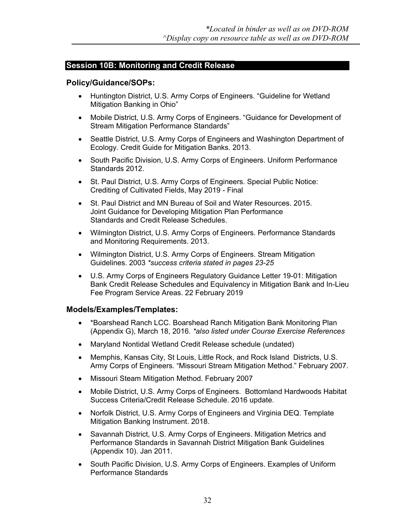### **Session 10B: Monitoring and Credit Release**

### **Policy/Guidance/SOPs:**

- Huntington District, U.S. Army Corps of Engineers. "Guideline for Wetland Mitigation Banking in Ohio"
- Mobile District, U.S. Army Corps of Engineers. "Guidance for Development of Stream Mitigation Performance Standards"
- Seattle District, U.S. Army Corps of Engineers and Washington Department of Ecology. Credit Guide for Mitigation Banks. 2013.
- South Pacific Division, U.S. Army Corps of Engineers. Uniform Performance Standards 2012.
- St. Paul District, U.S. Army Corps of Engineers. Special Public Notice: Crediting of Cultivated Fields, May 2019 - Final
- St. Paul District and MN Bureau of Soil and Water Resources. 2015. Joint Guidance for Developing Mitigation Plan Performance Standards and Credit Release Schedules.
- Wilmington District, U.S. Army Corps of Engineers. Performance Standards and Monitoring Requirements. 2013.
- Wilmington District, U.S. Army Corps of Engineers. Stream Mitigation Guidelines. 2003 *\*success criteria stated in pages 23-25*
- U.S. Army Corps of Engineers Regulatory Guidance Letter 19-01: Mitigation Bank Credit Release Schedules and Equivalency in Mitigation Bank and In-Lieu Fee Program Service Areas. 22 February 2019

- \*Boarshead Ranch LCC. Boarshead Ranch Mitigation Bank Monitoring Plan (Appendix G), March 18, 2016. *\*also listed under Course Exercise References*
- Maryland Nontidal Wetland Credit Release schedule (undated)
- Memphis, Kansas City, St Louis, Little Rock, and Rock Island Districts, U.S. Army Corps of Engineers. "Missouri Stream Mitigation Method." February 2007.
- Missouri Steam Mitigation Method. February 2007
- Mobile District, U.S. Army Corps of Engineers. Bottomland Hardwoods Habitat Success Criteria/Credit Release Schedule. 2016 update.
- Norfolk District, U.S. Army Corps of Engineers and Virginia DEQ. Template Mitigation Banking Instrument. 2018.
- Savannah District, U.S. Army Corps of Engineers. Mitigation Metrics and Performance Standards in Savannah District Mitigation Bank Guidelines (Appendix 10). Jan 2011.
- South Pacific Division, U.S. Army Corps of Engineers. Examples of Uniform Performance Standards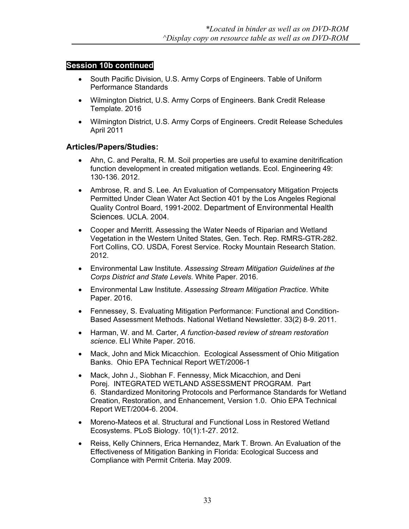### **Session 10b continued**

- South Pacific Division, U.S. Army Corps of Engineers. Table of Uniform Performance Standards
- Wilmington District, U.S. Army Corps of Engineers. Bank Credit Release Template. 2016
- Wilmington District, U.S. Army Corps of Engineers. Credit Release Schedules April 2011

### **Articles/Papers/Studies:**

- Ahn, C. and Peralta, R. M. Soil properties are useful to examine denitrification function development in created mitigation wetlands. Ecol. Engineering 49: 130-136. 2012.
- Ambrose, R. and S. Lee. An Evaluation of Compensatory Mitigation Projects Permitted Under Clean Water Act Section 401 by the Los Angeles Regional Quality Control Board, 1991-2002. Department of Environmental Health Sciences. UCLA. 2004.
- Cooper and Merritt. Assessing the Water Needs of Riparian and Wetland Vegetation in the Western United States, Gen. Tech. Rep. RMRS-GTR-282. Fort Collins, CO. USDA, Forest Service. Rocky Mountain Research Station. 2012.
- Environmental Law Institute. *Assessing Stream Mitigation Guidelines at the Corps District and State Levels.* White Paper. 2016.
- Environmental Law Institute. *Assessing Stream Mitigation Practice*. White Paper. 2016.
- Fennessey, S. Evaluating Mitigation Performance: Functional and Condition-Based Assessment Methods. National Wetland Newsletter. 33(2) 8-9. 2011.
- Harman, W. and M. Carter, *A function-based review of stream restoration science*. ELI White Paper. 2016.
- Mack, John and Mick Micacchion. Ecological Assessment of Ohio Mitigation Banks. Ohio EPA Technical Report WET/2006-1
- Mack, John J., Siobhan F. Fennessy, Mick Micacchion, and Deni Porej. INTEGRATED WETLAND ASSESSMENT PROGRAM. Part 6. Standardized Monitoring Protocols and Performance Standards for Wetland Creation, Restoration, and Enhancement, Version 1.0. Ohio EPA Technical Report WET/2004-6. 2004.
- Moreno-Mateos et al. Structural and Functional Loss in Restored Wetland Ecosystems. PLoS Biology. 10(1):1-27. 2012.
- Reiss, Kelly Chinners, Erica Hernandez, Mark T. Brown. An Evaluation of the Effectiveness of Mitigation Banking in Florida: Ecological Success and Compliance with Permit Criteria. May 2009.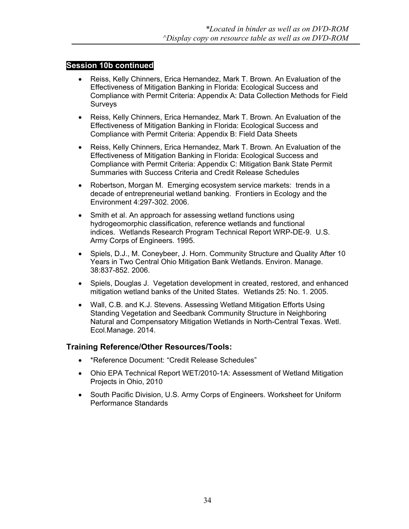### **Session 10b continued**

- Reiss, Kelly Chinners, Erica Hernandez, Mark T. Brown. An Evaluation of the Effectiveness of Mitigation Banking in Florida: Ecological Success and Compliance with Permit Criteria: Appendix A: Data Collection Methods for Field Surveys
- Reiss, Kelly Chinners, Erica Hernandez, Mark T. Brown. An Evaluation of the Effectiveness of Mitigation Banking in Florida: Ecological Success and Compliance with Permit Criteria: Appendix B: Field Data Sheets
- Reiss, Kelly Chinners, Erica Hernandez, Mark T. Brown. An Evaluation of the Effectiveness of Mitigation Banking in Florida: Ecological Success and Compliance with Permit Criteria: Appendix C: Mitigation Bank State Permit Summaries with Success Criteria and Credit Release Schedules
- Robertson, Morgan M. Emerging ecosystem service markets: trends in a decade of entrepreneurial wetland banking. Frontiers in Ecology and the Environment 4:297-302. 2006.
- Smith et al. An approach for assessing wetland functions using hydrogeomorphic classification, reference wetlands and functional indices. Wetlands Research Program Technical Report WRP-DE-9. U.S. Army Corps of Engineers. 1995.
- Spiels, D.J., M. Coneybeer, J. Horn. Community Structure and Quality After 10 Years in Two Central Ohio Mitigation Bank Wetlands. Environ. Manage. 38:837-852. 2006.
- Spiels, Douglas J. Vegetation development in created, restored, and enhanced mitigation wetland banks of the United States. Wetlands 25: No. 1. 2005.
- Wall, C.B. and K.J. Stevens. Assessing Wetland Mitigation Efforts Using Standing Vegetation and Seedbank Community Structure in Neighboring Natural and Compensatory Mitigation Wetlands in North-Central Texas. Wetl. Ecol.Manage. 2014.

### **Training Reference/Other Resources/Tools:**

- \*Reference Document: "Credit Release Schedules"
- Ohio EPA Technical Report WET/2010-1A: Assessment of Wetland Mitigation Projects in Ohio, 2010
- South Pacific Division, U.S. Army Corps of Engineers. Worksheet for Uniform Performance Standards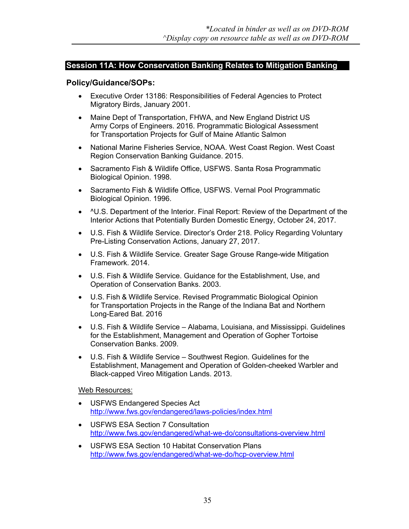### **Session 11A: How Conservation Banking Relates to Mitigation Banking**

### **Policy/Guidance/SOPs:**

- Executive Order 13186: Responsibilities of Federal Agencies to Protect Migratory Birds, January 2001.
- Maine Dept of Transportation, FHWA, and New England District US Army Corps of Engineers. 2016. Programmatic Biological Assessment for Transportation Projects for Gulf of Maine Atlantic Salmon
- National Marine Fisheries Service, NOAA. West Coast Region. West Coast Region Conservation Banking Guidance. 2015.
- Sacramento Fish & Wildlife Office, USFWS. Santa Rosa Programmatic Biological Opinion. 1998.
- Sacramento Fish & Wildlife Office, USFWS. Vernal Pool Programmatic Biological Opinion. 1996.
- ^U.S. Department of the Interior. Final Report: Review of the Department of the Interior Actions that Potentially Burden Domestic Energy, October 24, 2017.
- U.S. Fish & Wildlife Service. Director's Order 218. Policy Regarding Voluntary Pre-Listing Conservation Actions, January 27, 2017.
- U.S. Fish & Wildlife Service. Greater Sage Grouse Range-wide Mitigation Framework. 2014.
- U.S. Fish & Wildlife Service. Guidance for the Establishment, Use, and Operation of Conservation Banks. 2003.
- U.S. Fish & Wildlife Service. Revised Programmatic Biological Opinion for Transportation Projects in the Range of the Indiana Bat and Northern Long-Eared Bat. 2016
- U.S. Fish & Wildlife Service Alabama, Louisiana, and Mississippi. Guidelines for the Establishment, Management and Operation of Gopher Tortoise Conservation Banks. 2009.
- U.S. Fish & Wildlife Service Southwest Region. Guidelines for the Establishment, Management and Operation of Golden-cheeked Warbler and Black-capped Vireo Mitigation Lands. 2013.

#### Web Resources:

- USFWS Endangered Species Act http://www.fws.gov/endangered/laws-policies/index.html
- USFWS ESA Section 7 Consultation http://www.fws.gov/endangered/what-we-do/consultations-overview.html
- USFWS ESA Section 10 Habitat Conservation Plans http://www.fws.gov/endangered/what-we-do/hcp-overview.html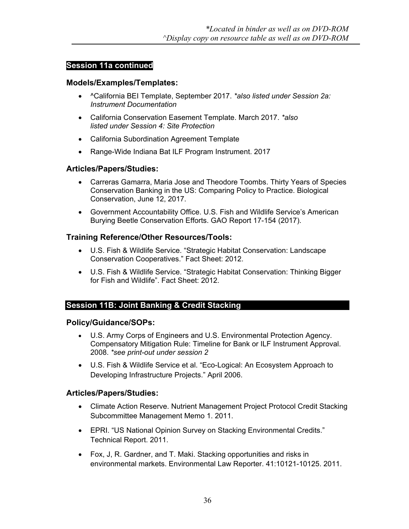### **Session 11a continued**

#### **Models/Examples/Templates:**

- ^California BEI Template, September 2017. *\*also listed under Session 2a: Instrument Documentation*
- California Conservation Easement Template. March 2017. *\*also listed under Session 4: Site Protection*
- California Subordination Agreement Template
- Range-Wide Indiana Bat ILF Program Instrument. 2017

#### **Articles/Papers/Studies:**

- Carreras Gamarra, Maria Jose and Theodore Toombs. Thirty Years of Species Conservation Banking in the US: Comparing Policy to Practice. Biological Conservation, June 12, 2017.
- Government Accountability Office. U.S. Fish and Wildlife Service's American Burying Beetle Conservation Efforts. GAO Report 17-154 (2017).

### **Training Reference/Other Resources/Tools:**

- U.S. Fish & Wildlife Service. "Strategic Habitat Conservation: Landscape Conservation Cooperatives." Fact Sheet: 2012.
- U.S. Fish & Wildlife Service. "Strategic Habitat Conservation: Thinking Bigger for Fish and Wildlife". Fact Sheet: 2012.

### **Session 11B: Joint Banking & Credit Stacking**

#### **Policy/Guidance/SOPs:**

- U.S. Army Corps of Engineers and U.S. Environmental Protection Agency. Compensatory Mitigation Rule: Timeline for Bank or ILF Instrument Approval. 2008. *\*see print-out under session 2*
- U.S. Fish & Wildlife Service et al. "Eco-Logical: An Ecosystem Approach to Developing Infrastructure Projects." April 2006.

### **Articles/Papers/Studies:**

- Climate Action Reserve. Nutrient Management Project Protocol Credit Stacking Subcommittee Management Memo 1. 2011.
- EPRI. "US National Opinion Survey on Stacking Environmental Credits." Technical Report. 2011.
- Fox, J, R. Gardner, and T. Maki. Stacking opportunities and risks in environmental markets. Environmental Law Reporter. 41:10121-10125. 2011.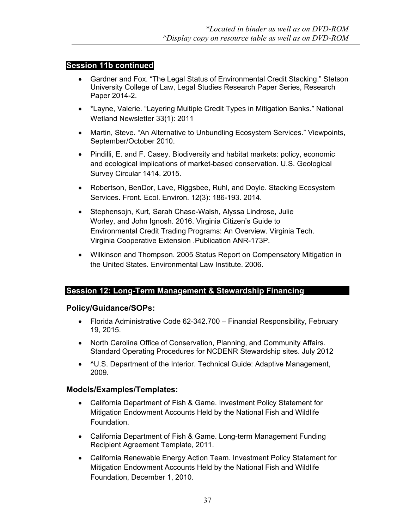### **Session 11b continued**

- Gardner and Fox. "The Legal Status of Environmental Credit Stacking." Stetson University College of Law, Legal Studies Research Paper Series, Research Paper 2014-2.
- \*Layne, Valerie. "Layering Multiple Credit Types in Mitigation Banks." National Wetland Newsletter 33(1): 2011
- Martin, Steve. "An Alternative to Unbundling Ecosystem Services." Viewpoints, September/October 2010.
- Pindilli, E. and F. Casey. Biodiversity and habitat markets: policy, economic and ecological implications of market-based conservation. U.S. Geological Survey Circular 1414. 2015.
- Robertson, BenDor, Lave, Riggsbee, Ruhl, and Doyle. Stacking Ecosystem Services. Front. Ecol. Environ. 12(3): 186-193. 2014.
- Stephensojn, Kurt, Sarah Chase-Walsh, Alyssa Lindrose, Julie Worley, and John Ignosh. 2016. Virginia Citizen's Guide to Environmental Credit Trading Programs: An Overview. Virginia Tech. Virginia Cooperative Extension .Publication ANR-173P.
- Wilkinson and Thompson. 2005 Status Report on Compensatory Mitigation in the United States. Environmental Law Institute. 2006.

### **Session 12: Long-Term Management & Stewardship Financing**

### **Policy/Guidance/SOPs:**

- Florida Administrative Code 62-342.700 Financial Responsibility, February 19, 2015.
- North Carolina Office of Conservation, Planning, and Community Affairs. Standard Operating Procedures for NCDENR Stewardship sites. July 2012
- $\cdot$  U.S. Department of the Interior. Technical Guide: Adaptive Management, 2009.

- California Department of Fish & Game. Investment Policy Statement for Mitigation Endowment Accounts Held by the National Fish and Wildlife Foundation.
- California Department of Fish & Game. Long-term Management Funding Recipient Agreement Template, 2011.
- California Renewable Energy Action Team. Investment Policy Statement for Mitigation Endowment Accounts Held by the National Fish and Wildlife Foundation, December 1, 2010.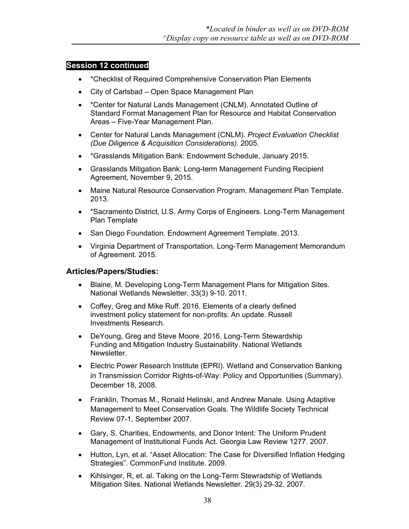- \* Checklist of Required Comprehensive Conservation Plan Elements
- City of Carlsbad Open Space Management Plan
- \* Center for Natural Lands Management (CNLM). Annotated Outline of Standard Format Management Plan for Resource and Habitat Conservation Areas – Five-Year Management Plan.
- Center for Natural Lands Management (CNLM). *Project Evaluation Checklist (Due Diligence & Acquisition Considerations).* 2005.
- \*Grasslands Mitigation Bank: Endowment Schedule, January 2015.
- Grasslands Mitigation Bank: Long-term Management Funding Recipient Agreement, November 9, 2015.
- Maine Natural Resource Conservation Program. Management Plan Template. 2013.
- \*Sacramento District, U.S. Army Corps of Engineers. Long-Term Management Plan Template
- San Diego Foundation. Endowment Agreement Template. 2013.
- Virginia Department of Transportation. Long-Term Management Memorandum of Agreement. 2015.

### **Articles/Papers/Studies:**

- Blaine, M. Developing Long-Term Management Plans for Mitigation Sites. National Wetlands Newsletter. 33(3) 9-10. 2011.
- Coffey, Greg and Mike Ruff. 2016. Elements of a clearly defined investment policy statement for non-profits: An update. Russell Investments Research.
- DeYoung, Greg and Steve Moore. 2016. Long-Term Stewardship Funding and Mitigation Industry Sustainability. National Wetlands Newsletter.
- Electric Power Research Institute (EPRI). Wetland and Conservation Banking in Transmission Corridor Rights-of-Way: Policy and Opportunities (Summary). December 18, 2008.
- Franklin, Thomas M., Ronald Helinski, and Andrew Manale. Using Adaptive Management to Meet Conservation Goals. The Wildlife Society Technical Review 07-1, September 2007.
- Gary, S. Charities, Endowments, and Donor Intent: The Uniform Prudent Management of Institutional Funds Act. Georgia Law Review 1277. 2007.
- Hutton, Lyn, et al. "Asset Allocation: The Case for Diversified Inflation Hedging Strategies". CommonFund Institute. 2009.
- Kihlsinger, R, et. al. Taking on the Long-Term Stewradship of Wetlands Mitigation Sites. National Wetlands Newsletter. 29(3) 29-32. 2007.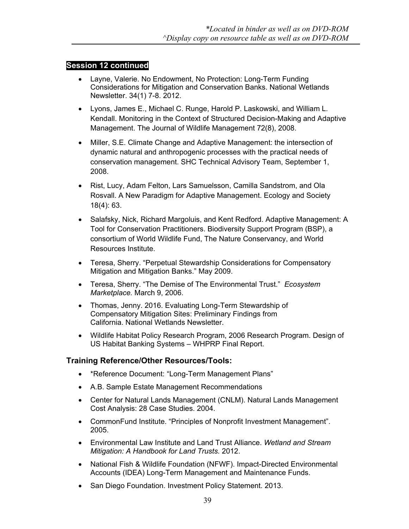- Layne, Valerie. No Endowment, No Protection: Long-Term Funding Considerations for Mitigation and Conservation Banks. National Wetlands Newsletter. 34(1) 7-8. 2012.
- Lyons, James E., Michael C. Runge, Harold P. Laskowski, and William L. Kendall. Monitoring in the Context of Structured Decision-Making and Adaptive Management. The Journal of Wildlife Management 72(8), 2008.
- Miller, S.E. Climate Change and Adaptive Management: the intersection of dynamic natural and anthropogenic processes with the practical needs of conservation management. SHC Technical Advisory Team, September 1, 2008.
- Rist, Lucy, Adam Felton, Lars Samuelsson, Camilla Sandstrom, and Ola Rosvall. A New Paradigm for Adaptive Management. Ecology and Society 18(4): 63.
- Salafsky, Nick, Richard Margoluis, and Kent Redford. Adaptive Management: A Tool for Conservation Practitioners. Biodiversity Support Program (BSP), a consortium of World Wildlife Fund, The Nature Conservancy, and World Resources Institute.
- Teresa, Sherry. "Perpetual Stewardship Considerations for Compensatory Mitigation and Mitigation Banks." May 2009.
- Teresa, Sherry. "The Demise of The Environmental Trust." *Ecosystem Marketplace.* March 9, 2006.
- Thomas, Jenny. 2016. Evaluating Long-Term Stewardship of Compensatory Mitigation Sites: Preliminary Findings from California. National Wetlands Newsletter.
- Wildlife Habitat Policy Research Program, 2006 Research Program. Design of US Habitat Banking Systems – WHPRP Final Report.

### **Training Reference/Other Resources/Tools:**

- \*Reference Document: "Long-Term Management Plans"
- A.B. Sample Estate Management Recommendations
- Center for Natural Lands Management (CNLM). Natural Lands Management Cost Analysis: 28 Case Studies. 2004.
- CommonFund Institute. "Principles of Nonprofit Investment Management". 2005.
- Environmental Law Institute and Land Trust Alliance. *Wetland and Stream Mitigation: A Handbook for Land Trusts.* 2012.
- National Fish & Wildlife Foundation (NFWF). Impact-Directed Environmental Accounts (IDEA) Long-Term Management and Maintenance Funds.
- San Diego Foundation. Investment Policy Statement. 2013.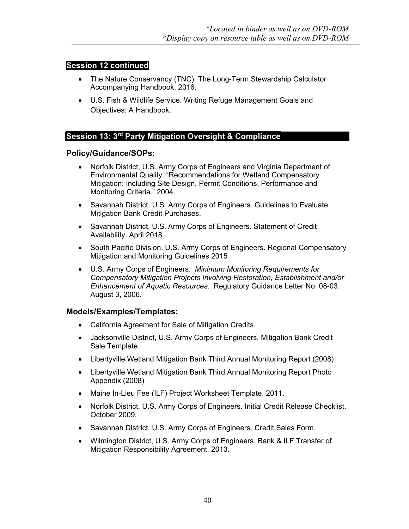- The Nature Conservancy (TNC). The Long-Term Stewardship Calculator Accompanying Handbook. 2016.
- U.S. Fish & Wildlife Service. Writing Refuge Management Goals and Objectives: A Handbook.

### **Session 13: 3rd Party Mitigation Oversight & Compliance**

### **Policy/Guidance/SOPs:**

- Norfolk District, U.S. Army Corps of Engineers and Virginia Department of Environmental Quality. "Recommendations for Wetland Compensatory Mitigation: Including Site Design, Permit Conditions, Performance and Monitoring Criteria." 2004.
- Savannah District, U.S. Army Corps of Engineers. Guidelines to Evaluate Mitigation Bank Credit Purchases.
- Savannah District, U.S. Army Corps of Engineers. Statement of Credit Availability. April 2018.
- South Pacific Division, U.S. Army Corps of Engineers. Regional Compensatory Mitigation and Monitoring Guidelines 2015
- U.S. Army Corps of Engineers. *Minimum Monitoring Requirements for Compensatory Mitigation Projects Involving Restoration, Establishment and/or Enhancement of Aquatic Resources.* Regulatory Guidance Letter No. 08-03. August 3, 2006.

- California Agreement for Sale of Mitigation Credits.
- Jacksonville District, U.S. Army Corps of Engineers. Mitigation Bank Credit Sale Template.
- Libertyville Wetland Mitigation Bank Third Annual Monitoring Report (2008)
- Libertyville Wetland Mitigation Bank Third Annual Monitoring Report Photo Appendix (2008)
- Maine In-Lieu Fee (ILF) Project Worksheet Template. 2011.
- Norfolk District, U.S. Army Corps of Engineers. Initial Credit Release Checklist. October 2009.
- Savannah District, U.S. Army Corps of Engineers. Credit Sales Form.
- Wilmington District, U.S. Army Corps of Engineers. Bank & ILF Transfer of Mitigation Responsibility Agreement. 2013.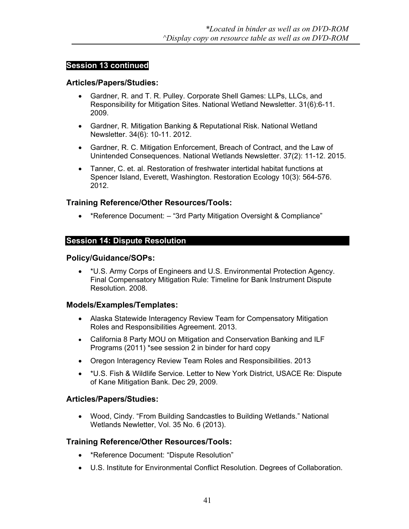#### **Articles/Papers/Studies:**

- Gardner, R. and T. R. Pulley. Corporate Shell Games: LLPs, LLCs, and Responsibility for Mitigation Sites. National Wetland Newsletter. 31(6):6-11. 2009.
- Gardner, R. Mitigation Banking & Reputational Risk. National Wetland Newsletter. 34(6): 10-11. 2012.
- Gardner, R. C. Mitigation Enforcement, Breach of Contract, and the Law of Unintended Consequences. National Wetlands Newsletter. 37(2): 11-12. 2015.
- Tanner, C. et. al. Restoration of freshwater intertidal habitat functions at Spencer Island, Everett, Washington. Restoration Ecology 10(3): 564-576. 2012.

### **Training Reference/Other Resources/Tools:**

• \* Reference Document: - "3rd Party Mitigation Oversight & Compliance"

### **Session 14: Dispute Resolution**

#### **Policy/Guidance/SOPs:**

 \*U.S. Army Corps of Engineers and U.S. Environmental Protection Agency. Final Compensatory Mitigation Rule: Timeline for Bank Instrument Dispute Resolution. 2008.

#### **Models/Examples/Templates:**

- Alaska Statewide Interagency Review Team for Compensatory Mitigation Roles and Responsibilities Agreement. 2013.
- California 8 Party MOU on Mitigation and Conservation Banking and ILF Programs (2011) \*see session 2 in binder for hard copy
- Oregon Interagency Review Team Roles and Responsibilities. 2013
- \*U.S. Fish & Wildlife Service. Letter to New York District, USACE Re: Dispute of Kane Mitigation Bank. Dec 29, 2009.

#### **Articles/Papers/Studies:**

 Wood, Cindy. "From Building Sandcastles to Building Wetlands." National Wetlands Newletter, Vol. 35 No. 6 (2013).

#### **Training Reference/Other Resources/Tools:**

- \*Reference Document: "Dispute Resolution"
- U.S. Institute for Environmental Conflict Resolution. Degrees of Collaboration.